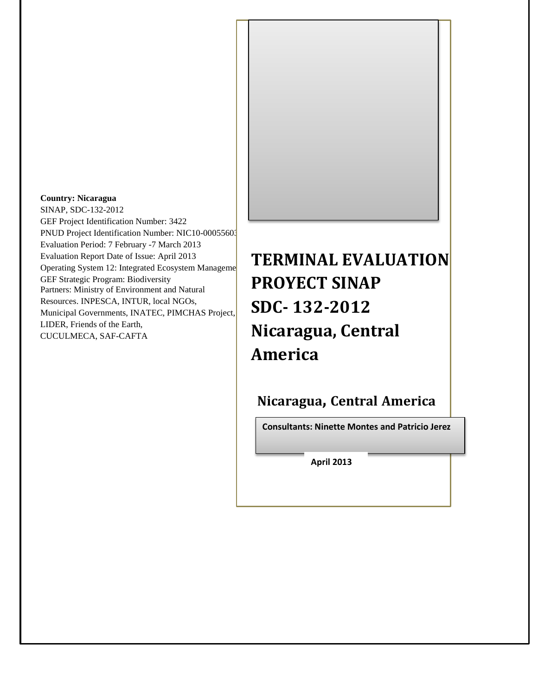

#### **Country: Nicaragua**

SINAP, SDC-132-2012 GEF Project Identification Number: 3422 PNUD Project Identification Number: NIC10-00055603 Evaluation Period: 7 February -7 March 2013 Evaluation Report Date of Issue: April 2013 Operating System 12: Integrated Ecosystem Manageme GEF Strategic Program: Biodiversity Partners: Ministry of Environment and Natural Resources. INPESCA, INTUR, local NGOs, Municipal Governments, INATEC, PIMCHAS Project, LIDER, Friends of the Earth, CUCULMECA, SAF-CAFTA

**TERMINAL EVALUATION PROYECT SINAP SDC- 132-2012 Nicaragua, Central America**

**Nicaragua, Central America**

**Consultants: Ninette Montes and Patricio Jerez**

**April 2013**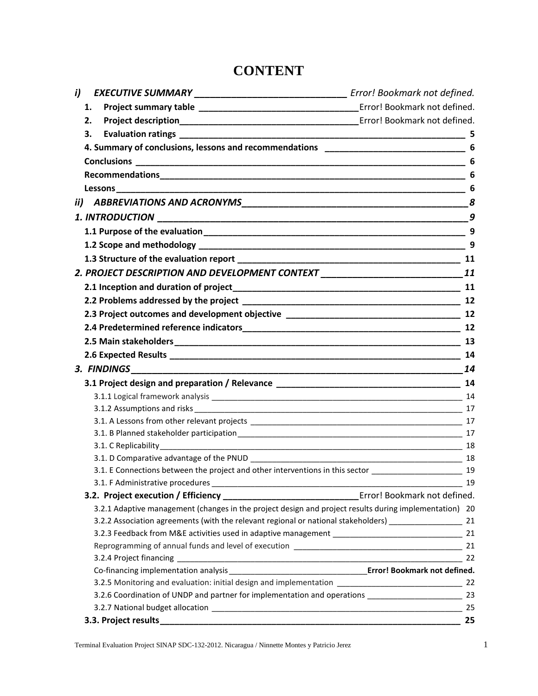# **CONTENT**

| i) | EXECUTIVE SUMMARY __________________________________ Error! Bookmark not defined.                                                                                                                                              |     |
|----|--------------------------------------------------------------------------------------------------------------------------------------------------------------------------------------------------------------------------------|-----|
| 1. |                                                                                                                                                                                                                                |     |
| 2. |                                                                                                                                                                                                                                |     |
| 3. |                                                                                                                                                                                                                                |     |
|    |                                                                                                                                                                                                                                |     |
|    |                                                                                                                                                                                                                                | 6   |
|    |                                                                                                                                                                                                                                | 6   |
|    |                                                                                                                                                                                                                                |     |
|    |                                                                                                                                                                                                                                |     |
|    |                                                                                                                                                                                                                                | 9   |
|    |                                                                                                                                                                                                                                | - 9 |
|    |                                                                                                                                                                                                                                | 9   |
|    |                                                                                                                                                                                                                                |     |
|    | 2. PROJECT DESCRIPTION AND DEVELOPMENT CONTEXT ________________________________11                                                                                                                                              |     |
|    |                                                                                                                                                                                                                                | 11  |
|    |                                                                                                                                                                                                                                |     |
|    |                                                                                                                                                                                                                                |     |
|    |                                                                                                                                                                                                                                |     |
|    |                                                                                                                                                                                                                                | 12  |
|    |                                                                                                                                                                                                                                |     |
|    |                                                                                                                                                                                                                                | 14  |
|    |                                                                                                                                                                                                                                | 14  |
|    |                                                                                                                                                                                                                                |     |
|    |                                                                                                                                                                                                                                |     |
|    |                                                                                                                                                                                                                                |     |
|    |                                                                                                                                                                                                                                |     |
|    | 3.1. B Planned stakeholder participation entity and the control of the control of the control of the control of the control of the control of the control of the control of the control of the control of the control of the c |     |
|    |                                                                                                                                                                                                                                |     |
|    | 3.1. E Connections between the project and other interventions in this sector ______________________ 19                                                                                                                        |     |
|    |                                                                                                                                                                                                                                | 19  |
|    |                                                                                                                                                                                                                                |     |
|    | 3.2.1 Adaptive management (changes in the project design and project results during implementation) 20                                                                                                                         |     |
|    | 3.2.2 Association agreements (with the relevant regional or national stakeholders) ______________________ 21                                                                                                                   |     |
|    |                                                                                                                                                                                                                                |     |
|    |                                                                                                                                                                                                                                |     |
|    |                                                                                                                                                                                                                                |     |
|    |                                                                                                                                                                                                                                |     |
|    |                                                                                                                                                                                                                                |     |
|    | 3.2.6 Coordination of UNDP and partner for implementation and operations __________________________ 23                                                                                                                         |     |
|    |                                                                                                                                                                                                                                | 25  |
|    |                                                                                                                                                                                                                                | 25  |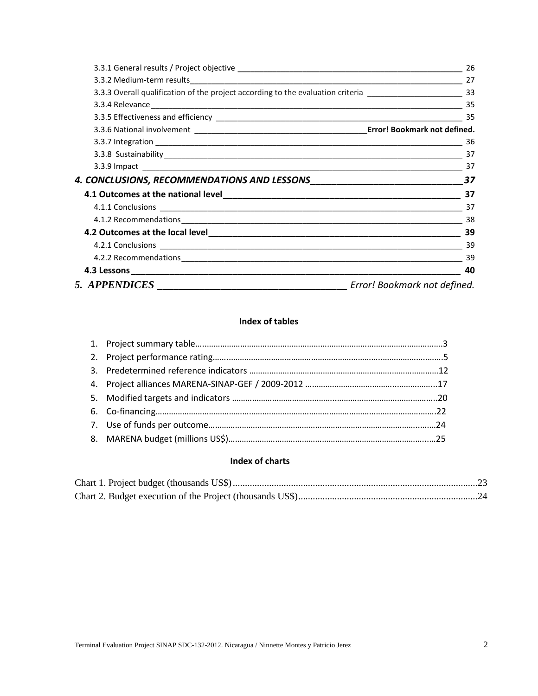|               | -26                                                                                                           |
|---------------|---------------------------------------------------------------------------------------------------------------|
|               |                                                                                                               |
|               | 3.3.3 Overall qualification of the project according to the evaluation criteria __________________________ 33 |
|               |                                                                                                               |
|               |                                                                                                               |
|               |                                                                                                               |
|               |                                                                                                               |
|               |                                                                                                               |
|               |                                                                                                               |
|               | 37                                                                                                            |
|               |                                                                                                               |
|               |                                                                                                               |
|               | 38                                                                                                            |
|               | 39                                                                                                            |
|               |                                                                                                               |
|               | 39                                                                                                            |
|               | 40                                                                                                            |
| 5. APPENDICES | Error! Bookmark not defined.                                                                                  |

## **Index of tables**

#### **Index of charts**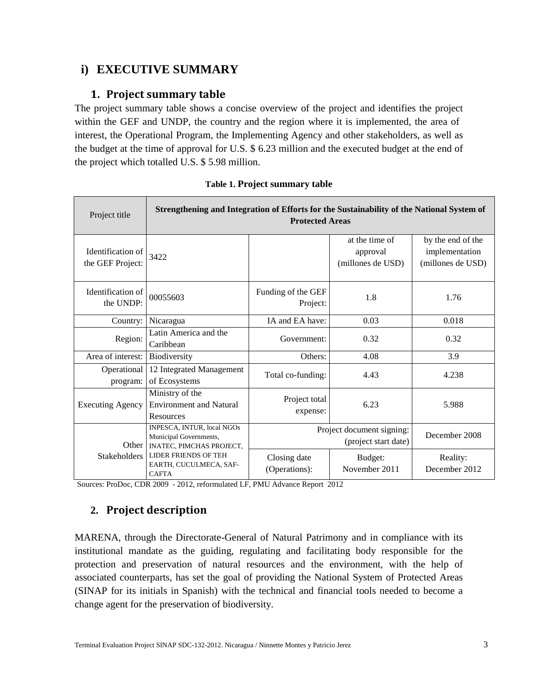# **i) EXECUTIVE SUMMARY**

## **1. Project summary table**

The project summary table shows a concise overview of the project and identifies the project within the GEF and UNDP, the country and the region where it is implemented, the area of interest, the Operational Program, the Implementing Agency and other stakeholders, as well as the budget at the time of approval for U.S. \$ 6.23 million and the executed budget at the end of the project which totalled U.S. \$ 5.98 million.

| Project title                         | Strengthening and Integration of Efforts for the Sustainability of the National System of<br><b>Protected Areas</b> |                                |                                                   |                                                          |  |
|---------------------------------------|---------------------------------------------------------------------------------------------------------------------|--------------------------------|---------------------------------------------------|----------------------------------------------------------|--|
| Identification of<br>the GEF Project: | 3422                                                                                                                |                                | at the time of<br>approval<br>(millones de USD)   | by the end of the<br>implementation<br>(millones de USD) |  |
| Identification of<br>the UNDP:        | 00055603                                                                                                            | Funding of the GEF<br>Project: | 1.8                                               | 1.76                                                     |  |
| Country:                              | Nicaragua                                                                                                           | IA and EA have:                | 0.03                                              | 0.018                                                    |  |
| Region:                               | Latin America and the<br>Caribbean                                                                                  | Government:                    | 0.32                                              | 0.32                                                     |  |
| Area of interest:                     | Biodiversity                                                                                                        | Others:                        | 4.08                                              | 3.9                                                      |  |
| Operational<br>program:               | 12 Integrated Management<br>of Ecosystems                                                                           | Total co-funding:              | 4.43                                              | 4.238                                                    |  |
| <b>Executing Agency</b>               | Ministry of the<br><b>Environment and Natural</b><br>Resources                                                      | Project total<br>expense:      | 6.23                                              | 5.988                                                    |  |
| Other                                 | INPESCA, INTUR, local NGOs<br>Municipal Governments,<br><b>INATEC, PIMCHAS PROJECT,</b>                             |                                | Project document signing:<br>(project start date) | December 2008                                            |  |
| <b>Stakeholders</b>                   | <b>LIDER FRIENDS OF TEH</b><br>EARTH, CUCULMECA, SAF-<br><b>CAFTA</b>                                               | Closing date<br>(Operations):  | Budget:<br>November 2011                          | Reality:<br>December 2012                                |  |

| Table 1. Project summary table |  |  |  |  |
|--------------------------------|--|--|--|--|
|--------------------------------|--|--|--|--|

Sources: ProDoc, CDR 2009 - 2012, reformulated LF, PMU Advance Report 2012

# **2. Project description**

MARENA, through the Directorate-General of Natural Patrimony and in compliance with its institutional mandate as the guiding, regulating and facilitating body responsible for the protection and preservation of natural resources and the environment, with the help of associated counterparts, has set the goal of providing the National System of Protected Areas (SINAP for its initials in Spanish) with the technical and financial tools needed to become a change agent for the preservation of biodiversity.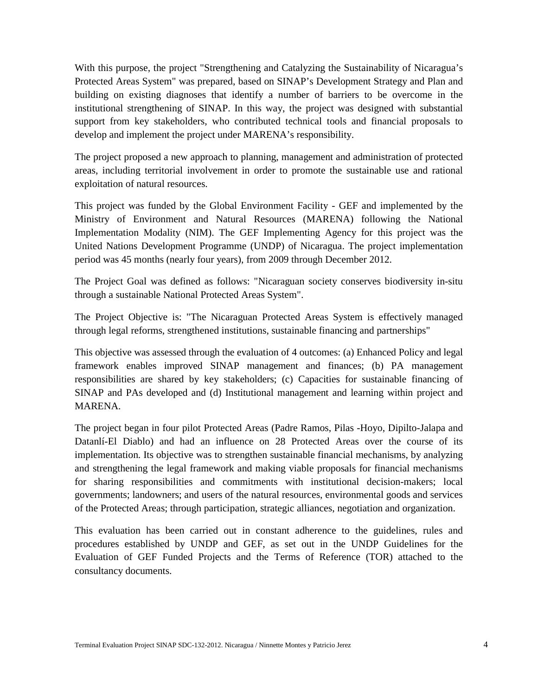With this purpose, the project "Strengthening and Catalyzing the Sustainability of Nicaragua's Protected Areas System" was prepared, based on SINAP's Development Strategy and Plan and building on existing diagnoses that identify a number of barriers to be overcome in the institutional strengthening of SINAP. In this way, the project was designed with substantial support from key stakeholders, who contributed technical tools and financial proposals to develop and implement the project under MARENA's responsibility.

The project proposed a new approach to planning, management and administration of protected areas, including territorial involvement in order to promote the sustainable use and rational exploitation of natural resources.

This project was funded by the Global Environment Facility - GEF and implemented by the Ministry of Environment and Natural Resources (MARENA) following the National Implementation Modality (NIM). The GEF Implementing Agency for this project was the United Nations Development Programme (UNDP) of Nicaragua. The project implementation period was 45 months (nearly four years), from 2009 through December 2012.

The Project Goal was defined as follows: "Nicaraguan society conserves biodiversity in-situ through a sustainable National Protected Areas System".

The Project Objective is: "The Nicaraguan Protected Areas System is effectively managed through legal reforms, strengthened institutions, sustainable financing and partnerships"

This objective was assessed through the evaluation of 4 outcomes: (a) Enhanced Policy and legal framework enables improved SINAP management and finances; (b) PA management responsibilities are shared by key stakeholders; (c) Capacities for sustainable financing of SINAP and PAs developed and (d) Institutional management and learning within project and MARENA.

The project began in four pilot Protected Areas (Padre Ramos, Pilas -Hoyo, Dipilto-Jalapa and Datanlí-El Diablo) and had an influence on 28 Protected Areas over the course of its implementation. Its objective was to strengthen sustainable financial mechanisms, by analyzing and strengthening the legal framework and making viable proposals for financial mechanisms for sharing responsibilities and commitments with institutional decision-makers; local governments; landowners; and users of the natural resources, environmental goods and services of the Protected Areas; through participation, strategic alliances, negotiation and organization.

This evaluation has been carried out in constant adherence to the guidelines, rules and procedures established by UNDP and GEF, as set out in the UNDP Guidelines for the Evaluation of GEF Funded Projects and the Terms of Reference (TOR) attached to the consultancy documents.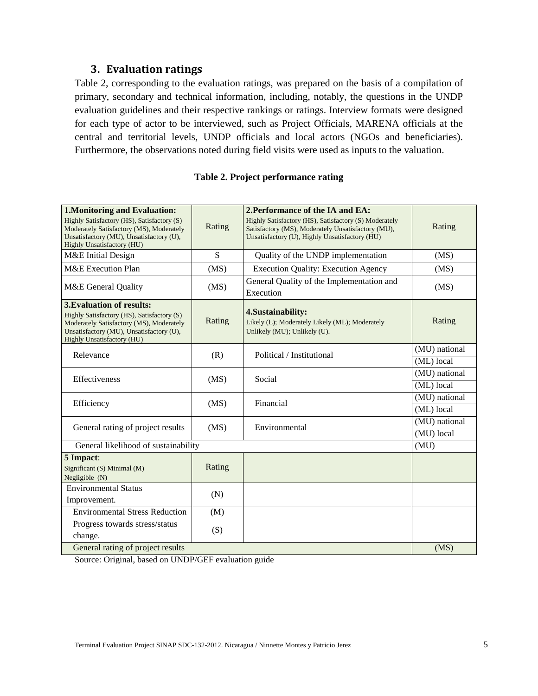### **3. Evaluation ratings**

<span id="page-5-0"></span>Table 2, corresponding to the evaluation ratings, was prepared on the basis of a compilation of primary, secondary and technical information, including, notably, the questions in the UNDP evaluation guidelines and their respective rankings or ratings. Interview formats were designed for each type of actor to be interviewed, such as Project Officials, MARENA officials at the central and territorial levels, UNDP officials and local actors (NGOs and beneficiaries). Furthermore, the observations noted during field visits were used as inputs to the valuation.

| Table 2. Project performance rating |  |  |  |  |  |
|-------------------------------------|--|--|--|--|--|
|-------------------------------------|--|--|--|--|--|

| <b>1. Monitoring and Evaluation:</b>                                                                                                                                                                 |        | 2. Performance of the IA and EA:                                                                                                                              |                             |  |
|------------------------------------------------------------------------------------------------------------------------------------------------------------------------------------------------------|--------|---------------------------------------------------------------------------------------------------------------------------------------------------------------|-----------------------------|--|
| Highly Satisfactory (HS), Satisfactory (S)<br>Moderately Satisfactory (MS), Moderately<br>Unsatisfactory (MU), Unsatisfactory (U),<br>Highly Unsatisfactory (HU)                                     | Rating | Highly Satisfactory (HS), Satisfactory (S) Moderately<br>Satisfactory (MS), Moderately Unsatisfactory (MU),<br>Unsatisfactory (U), Highly Unsatisfactory (HU) | Rating                      |  |
| M&E Initial Design                                                                                                                                                                                   | S      | Quality of the UNDP implementation                                                                                                                            | (MS)                        |  |
| M&E Execution Plan                                                                                                                                                                                   | (MS)   | <b>Execution Quality: Execution Agency</b>                                                                                                                    | (MS)                        |  |
| M&E General Quality                                                                                                                                                                                  | (MS)   | General Quality of the Implementation and<br>Execution                                                                                                        | (MS)                        |  |
| <b>3. Evaluation of results:</b><br>Highly Satisfactory (HS), Satisfactory (S)<br>Moderately Satisfactory (MS), Moderately<br>Unsatisfactory (MU), Unsatisfactory (U),<br>Highly Unsatisfactory (HU) | Rating | 4. Sustainability:<br>Likely (L); Moderately Likely (ML); Moderately<br>Unlikely (MU); Unlikely (U).                                                          | Rating                      |  |
| Relevance                                                                                                                                                                                            | (R)    | Political / Institutional                                                                                                                                     | (MU) national<br>(ML) local |  |
| Effectiveness                                                                                                                                                                                        | (MS)   | Social                                                                                                                                                        | (MU) national<br>(ML) local |  |
| Efficiency                                                                                                                                                                                           | (MS)   | Financial                                                                                                                                                     | (MU) national<br>(ML) local |  |
| General rating of project results                                                                                                                                                                    | (MS)   | Environmental                                                                                                                                                 | (MU) national<br>(MU) local |  |
| General likelihood of sustainability                                                                                                                                                                 |        |                                                                                                                                                               | (MU)                        |  |
| 5 Impact:<br>Significant (S) Minimal (M)<br>Negligible (N)                                                                                                                                           | Rating |                                                                                                                                                               |                             |  |
| <b>Environmental Status</b><br>Improvement.                                                                                                                                                          | (N)    |                                                                                                                                                               |                             |  |
| <b>Environmental Stress Reduction</b>                                                                                                                                                                | (M)    |                                                                                                                                                               |                             |  |
| Progress towards stress/status<br>change.                                                                                                                                                            | (S)    |                                                                                                                                                               | (MS)                        |  |
| General rating of project results                                                                                                                                                                    |        |                                                                                                                                                               |                             |  |

Source: Original, based on UNDP/GEF evaluation guide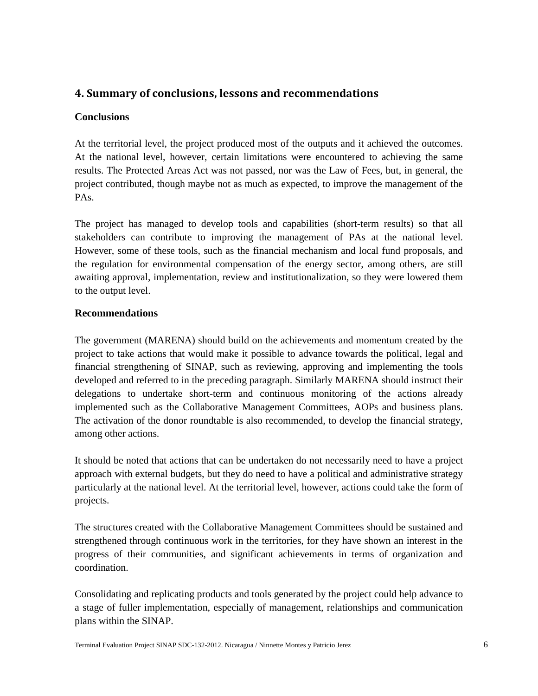## <span id="page-6-0"></span>**4. Summary of conclusions, lessons and recommendations**

### <span id="page-6-1"></span>**Conclusions**

At the territorial level, the project produced most of the outputs and it achieved the outcomes. At the national level, however, certain limitations were encountered to achieving the same results. The Protected Areas Act was not passed, nor was the Law of Fees, but, in general, the project contributed, though maybe not as much as expected, to improve the management of the PAs.

The project has managed to develop tools and capabilities (short-term results) so that all stakeholders can contribute to improving the management of PAs at the national level. However, some of these tools, such as the financial mechanism and local fund proposals, and the regulation for environmental compensation of the energy sector, among others, are still awaiting approval, implementation, review and institutionalization, so they were lowered them to the output level.

#### <span id="page-6-2"></span>**Recommendations**

The government (MARENA) should build on the achievements and momentum created by the project to take actions that would make it possible to advance towards the political, legal and financial strengthening of SINAP, such as reviewing, approving and implementing the tools developed and referred to in the preceding paragraph. Similarly MARENA should instruct their delegations to undertake short-term and continuous monitoring of the actions already implemented such as the Collaborative Management Committees, AOPs and business plans. The activation of the donor roundtable is also recommended, to develop the financial strategy, among other actions.

It should be noted that actions that can be undertaken do not necessarily need to have a project approach with external budgets, but they do need to have a political and administrative strategy particularly at the national level. At the territorial level, however, actions could take the form of projects.

The structures created with the Collaborative Management Committees should be sustained and strengthened through continuous work in the territories, for they have shown an interest in the progress of their communities, and significant achievements in terms of organization and coordination.

<span id="page-6-3"></span>Consolidating and replicating products and tools generated by the project could help advance to a stage of fuller implementation, especially of management, relationships and communication plans within the SINAP.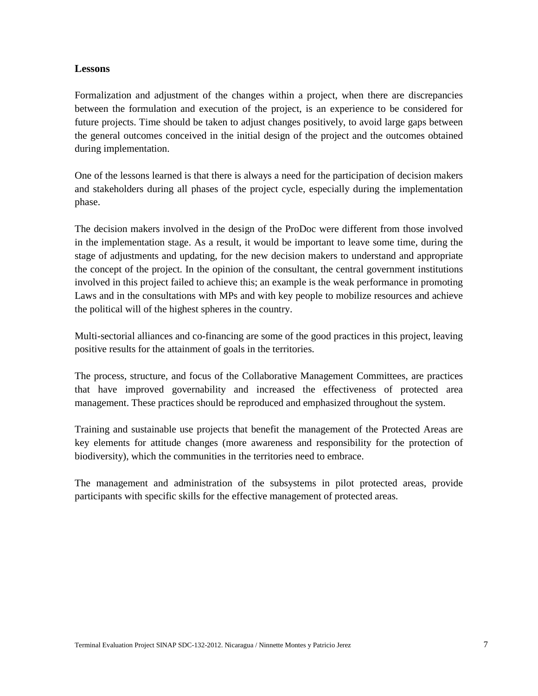#### **Lessons**

Formalization and adjustment of the changes within a project, when there are discrepancies between the formulation and execution of the project, is an experience to be considered for future projects. Time should be taken to adjust changes positively, to avoid large gaps between the general outcomes conceived in the initial design of the project and the outcomes obtained during implementation.

One of the lessons learned is that there is always a need for the participation of decision makers and stakeholders during all phases of the project cycle, especially during the implementation phase.

The decision makers involved in the design of the ProDoc were different from those involved in the implementation stage. As a result, it would be important to leave some time, during the stage of adjustments and updating, for the new decision makers to understand and appropriate the concept of the project. In the opinion of the consultant, the central government institutions involved in this project failed to achieve this; an example is the weak performance in promoting Laws and in the consultations with MPs and with key people to mobilize resources and achieve the political will of the highest spheres in the country.

Multi-sectorial alliances and co-financing are some of the good practices in this project, leaving positive results for the attainment of goals in the territories.

The process, structure, and focus of the Collaborative Management Committees, are practices that have improved governability and increased the effectiveness of protected area management. These practices should be reproduced and emphasized throughout the system.

Training and sustainable use projects that benefit the management of the Protected Areas are key elements for attitude changes (more awareness and responsibility for the protection of biodiversity), which the communities in the territories need to embrace.

<span id="page-7-0"></span>The management and administration of the subsystems in pilot protected areas, provide participants with specific skills for the effective management of protected areas.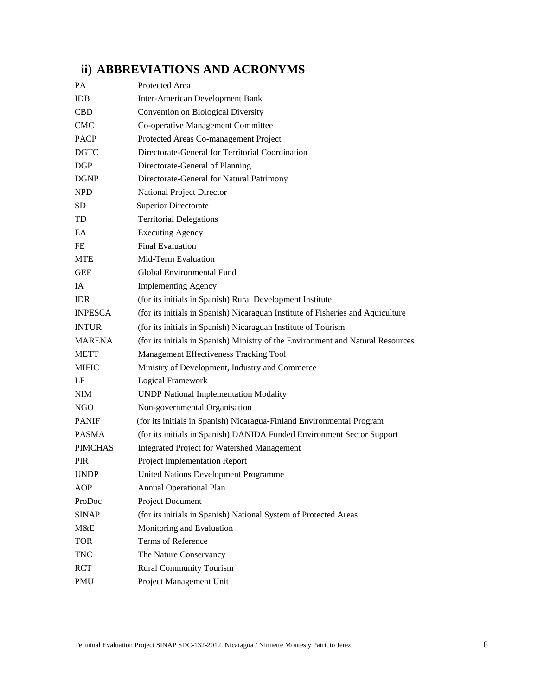# **ii) ABBREVIATIONS AND ACRONYMS**

| PA             | Protected Area                                                                  |
|----------------|---------------------------------------------------------------------------------|
| <b>IDB</b>     | <b>Inter-American Development Bank</b>                                          |
| <b>CBD</b>     | Convention on Biological Diversity                                              |
| <b>CMC</b>     | Co-operative Management Committee                                               |
| <b>PACP</b>    | Protected Areas Co-management Project                                           |
| <b>DGTC</b>    | Directorate-General for Territorial Coordination                                |
| <b>DGP</b>     | Directorate-General of Planning                                                 |
| <b>DGNP</b>    | Directorate-General for Natural Patrimony                                       |
| <b>NPD</b>     | National Project Director                                                       |
| SD             | <b>Superior Directorate</b>                                                     |
| TD             | <b>Territorial Delegations</b>                                                  |
| EA             | <b>Executing Agency</b>                                                         |
| FE             | <b>Final Evaluation</b>                                                         |
| <b>MTE</b>     | Mid-Term Evaluation                                                             |
| <b>GEF</b>     | Global Environmental Fund                                                       |
| IA             | <b>Implementing Agency</b>                                                      |
| <b>IDR</b>     | (for its initials in Spanish) Rural Development Institute                       |
| <b>INPESCA</b> | (for its initials in Spanish) Nicaraguan Institute of Fisheries and Aquiculture |
| <b>INTUR</b>   | (for its initials in Spanish) Nicaraguan Institute of Tourism                   |
| <b>MARENA</b>  | (for its initials in Spanish) Ministry of the Environment and Natural Resources |
| <b>METT</b>    | Management Effectiveness Tracking Tool                                          |
| <b>MIFIC</b>   | Ministry of Development, Industry and Commerce                                  |
| LF             | Logical Framework                                                               |
| <b>NIM</b>     | <b>UNDP National Implementation Modality</b>                                    |
| NGO            | Non-governmental Organisation                                                   |
| <b>PANIF</b>   | (for its initials in Spanish) Nicaragua-Finland Environmental Program           |
| <b>PASMA</b>   | (for its initials in Spanish) DANIDA Funded Environment Sector Support          |
| <b>PIMCHAS</b> | <b>Integrated Project for Watershed Management</b>                              |
| <b>PIR</b>     | Project Implementation Report                                                   |
| <b>UNDP</b>    | United Nations Development Programme                                            |
| AOP            | <b>Annual Operational Plan</b>                                                  |
| ProDoc         | Project Document                                                                |
| <b>SINAP</b>   | (for its initials in Spanish) National System of Protected Areas                |
| M&E            | Monitoring and Evaluation                                                       |
| <b>TOR</b>     | Terms of Reference                                                              |
| <b>TNC</b>     | The Nature Conservancy                                                          |
| <b>RCT</b>     | <b>Rural Community Tourism</b>                                                  |
| PMU            | Project Management Unit                                                         |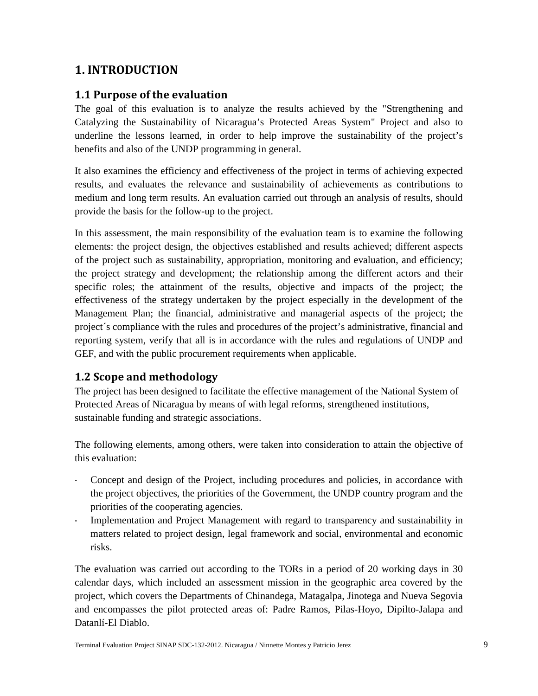# <span id="page-9-0"></span>**1. INTRODUCTION**

## <span id="page-9-1"></span>**1.1 Purpose of the evaluation**

The goal of this evaluation is to analyze the results achieved by the "Strengthening and Catalyzing the Sustainability of Nicaragua's Protected Areas System" Project and also to underline the lessons learned, in order to help improve the sustainability of the project's benefits and also of the UNDP programming in general.

It also examines the efficiency and effectiveness of the project in terms of achieving expected results, and evaluates the relevance and sustainability of achievements as contributions to medium and long term results. An evaluation carried out through an analysis of results, should provide the basis for the follow-up to the project.

In this assessment, the main responsibility of the evaluation team is to examine the following elements: the project design, the objectives established and results achieved; different aspects of the project such as sustainability, appropriation, monitoring and evaluation, and efficiency; the project strategy and development; the relationship among the different actors and their specific roles; the attainment of the results, objective and impacts of the project; the effectiveness of the strategy undertaken by the project especially in the development of the Management Plan; the financial, administrative and managerial aspects of the project; the project´s compliance with the rules and procedures of the project's administrative, financial and reporting system, verify that all is in accordance with the rules and regulations of UNDP and GEF, and with the public procurement requirements when applicable.

## <span id="page-9-2"></span>**1.2 Scope and methodology**

The project has been designed to facilitate the effective management of the National System of Protected Areas of Nicaragua by means of with legal reforms, strengthened institutions, sustainable funding and strategic associations.

The following elements, among others, were taken into consideration to attain the objective of this evaluation:

- Concept and design of the Project, including procedures and policies, in accordance with the project objectives, the priorities of the Government, the UNDP country program and the priorities of the cooperating agencies.
- Implementation and Project Management with regard to transparency and sustainability in matters related to project design, legal framework and social, environmental and economic risks.

The evaluation was carried out according to the TORs in a period of 20 working days in 30 calendar days, which included an assessment mission in the geographic area covered by the project, which covers the Departments of Chinandega, Matagalpa, Jinotega and Nueva Segovia and encompasses the pilot protected areas of: Padre Ramos, Pilas-Hoyo, Dipilto-Jalapa and Datanlí-El Diablo.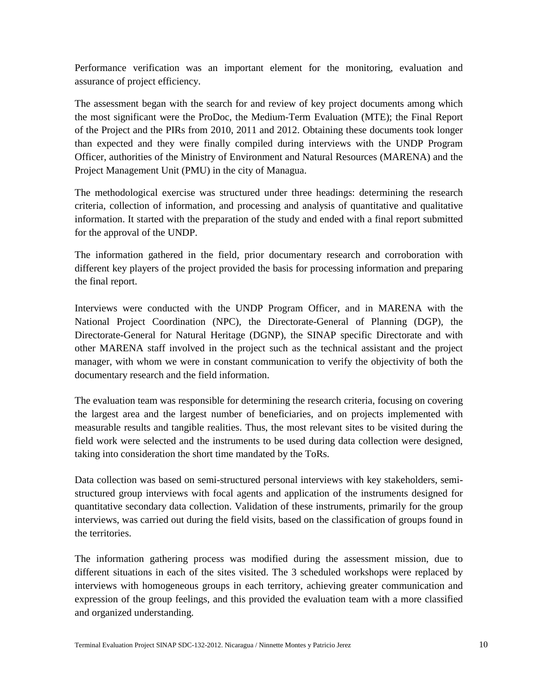Performance verification was an important element for the monitoring, evaluation and assurance of project efficiency.

The assessment began with the search for and review of key project documents among which the most significant were the ProDoc, the Medium-Term Evaluation (MTE); the Final Report of the Project and the PIRs from 2010, 2011 and 2012. Obtaining these documents took longer than expected and they were finally compiled during interviews with the UNDP Program Officer, authorities of the Ministry of Environment and Natural Resources (MARENA) and the Project Management Unit (PMU) in the city of Managua.

The methodological exercise was structured under three headings: determining the research criteria, collection of information, and processing and analysis of quantitative and qualitative information. It started with the preparation of the study and ended with a final report submitted for the approval of the UNDP.

The information gathered in the field, prior documentary research and corroboration with different key players of the project provided the basis for processing information and preparing the final report.

Interviews were conducted with the UNDP Program Officer, and in MARENA with the National Project Coordination (NPC), the Directorate-General of Planning (DGP), the Directorate-General for Natural Heritage (DGNP), the SINAP specific Directorate and with other MARENA staff involved in the project such as the technical assistant and the project manager, with whom we were in constant communication to verify the objectivity of both the documentary research and the field information.

The evaluation team was responsible for determining the research criteria, focusing on covering the largest area and the largest number of beneficiaries, and on projects implemented with measurable results and tangible realities. Thus, the most relevant sites to be visited during the field work were selected and the instruments to be used during data collection were designed, taking into consideration the short time mandated by the ToRs.

Data collection was based on semi-structured personal interviews with key stakeholders, semistructured group interviews with focal agents and application of the instruments designed for quantitative secondary data collection. Validation of these instruments, primarily for the group interviews, was carried out during the field visits, based on the classification of groups found in the territories.

The information gathering process was modified during the assessment mission, due to different situations in each of the sites visited. The 3 scheduled workshops were replaced by interviews with homogeneous groups in each territory, achieving greater communication and expression of the group feelings, and this provided the evaluation team with a more classified and organized understanding.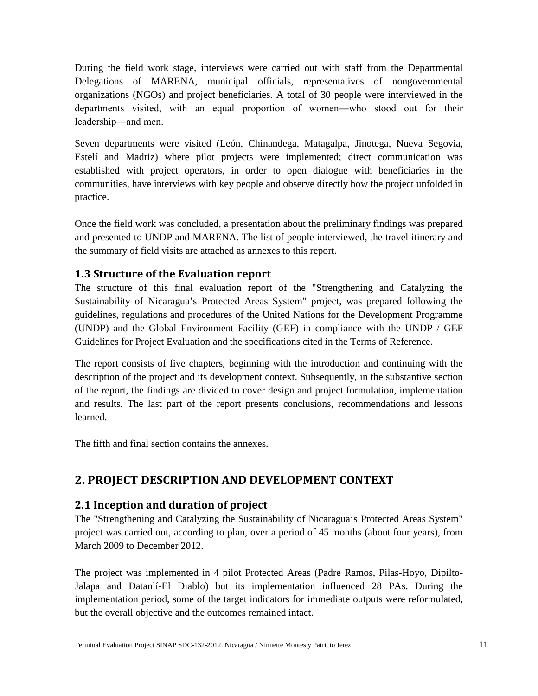During the field work stage, interviews were carried out with staff from the Departmental Delegations of MARENA, municipal officials, representatives of nongovernmental organizations (NGOs) and project beneficiaries. A total of 30 people were interviewed in the departments visited, with an equal proportion of women―who stood out for their leadership―and men.

Seven departments were visited (León, Chinandega, Matagalpa, Jinotega, Nueva Segovia, Estelí and Madriz) where pilot projects were implemented; direct communication was established with project operators, in order to open dialogue with beneficiaries in the communities, have interviews with key people and observe directly how the project unfolded in practice.

Once the field work was concluded, a presentation about the preliminary findings was prepared and presented to UNDP and MARENA. The list of people interviewed, the travel itinerary and the summary of field visits are attached as annexes to this report.

## <span id="page-11-0"></span>**1.3 Structure of the Evaluation report**

The structure of this final evaluation report of the "Strengthening and Catalyzing the Sustainability of Nicaragua's Protected Areas System" project, was prepared following the guidelines, regulations and procedures of the United Nations for the Development Programme (UNDP) and the Global Environment Facility (GEF) in compliance with the UNDP / GEF Guidelines for Project Evaluation and the specifications cited in the Terms of Reference.

The report consists of five chapters, beginning with the introduction and continuing with the description of the project and its development context. Subsequently, in the substantive section of the report, the findings are divided to cover design and project formulation, implementation and results. The last part of the report presents conclusions, recommendations and lessons learned.

<span id="page-11-1"></span>The fifth and final section contains the annexes.

# **2. PROJECT DESCRIPTION AND DEVELOPMENT CONTEXT**

## <span id="page-11-2"></span>**2.1 Inception and duration of project**

The "Strengthening and Catalyzing the Sustainability of Nicaragua's Protected Areas System" project was carried out, according to plan, over a period of 45 months (about four years), from March 2009 to December 2012.

The project was implemented in 4 pilot Protected Areas (Padre Ramos, Pilas-Hoyo, Dipilto-Jalapa and Datanlí-El Diablo) but its implementation influenced 28 PAs. During the implementation period, some of the target indicators for immediate outputs were reformulated, but the overall objective and the outcomes remained intact.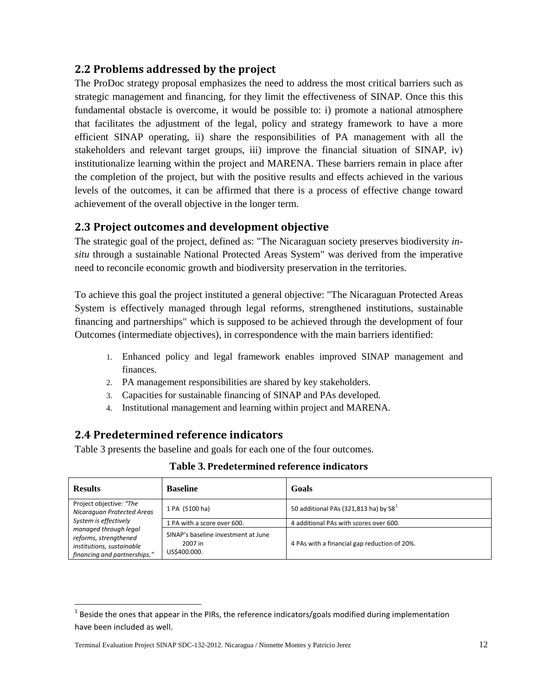## <span id="page-12-0"></span>**2.2 Problems addressed by the project**

The ProDoc strategy proposal emphasizes the need to address the most critical barriers such as strategic management and financing, for they limit the effectiveness of SINAP. Once this this fundamental obstacle is overcome, it would be possible to: i) promote a national atmosphere that facilitates the adjustment of the legal, policy and strategy framework to have a more efficient SINAP operating, ii) share the responsibilities of PA management with all the stakeholders and relevant target groups, iii) improve the financial situation of SINAP, iv) institutionalize learning within the project and MARENA. These barriers remain in place after the completion of the project, but with the positive results and effects achieved in the various levels of the outcomes, it can be affirmed that there is a process of effective change toward achievement of the overall objective in the longer term.

## <span id="page-12-1"></span>**2.3 Project outcomes and development objective**

The strategic goal of the project, defined as: "The Nicaraguan society preserves biodiversity *insitu* through a sustainable National Protected Areas System" was derived from the imperative need to reconcile economic growth and biodiversity preservation in the territories.

To achieve this goal the project instituted a general objective: "The Nicaraguan Protected Areas System is effectively managed through legal reforms, strengthened institutions, sustainable financing and partnerships" which is supposed to be achieved through the development of four Outcomes (intermediate objectives), in correspondence with the main barriers identified:

- 1. Enhanced policy and legal framework enables improved SINAP management and finances.
- 2. PA management responsibilities are shared by key stakeholders.
- 3. Capacities for sustainable financing of SINAP and PAs developed.
- 4. Institutional management and learning within project and MARENA.

## <span id="page-12-2"></span>**2.4 Predetermined reference indicators**

Table 3 presents the baseline and goals for each one of the four outcomes.

| <b>Results</b>                                                                                              | <b>Baseline</b>                                                | Goals                                        |
|-------------------------------------------------------------------------------------------------------------|----------------------------------------------------------------|----------------------------------------------|
| Project objective: "The<br>Nicaraguan Protected Areas                                                       | 1 PA (5100 ha)                                                 | 50 additional PAs (321,813 ha) by $S81$      |
| System is effectively                                                                                       | 1 PA with a score over 600.                                    | 4 additional PAs with scores over 600.       |
| managed through legal<br>reforms, strengthened<br>institutions, sustainable<br>financing and partnerships." | SINAP's baseline investment at June<br>2007 in<br>US\$400.000. | 4 PAs with a financial gap reduction of 20%. |

**Table 3. Predetermined reference indicators**

<span id="page-12-3"></span> $1$  Beside the ones that appear in the PIRs, the reference indicators/goals modified during implementation have been included as well.

Terminal Evaluation Project SINAP SDC-132-2012. Nicaragua / Ninnette Montes y Patricio Jerez 12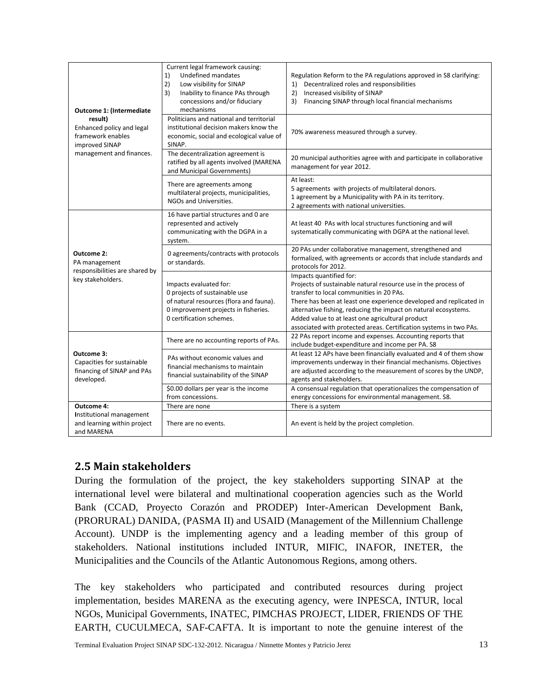| Outcome 1: (Intermediate                                                             | Current legal framework causing:<br>1)<br>Undefined mandates<br>2)<br>Low visibility for SINAP<br>3)<br>Inability to finance PAs through<br>concessions and/or fiduciary<br>mechanisms | Regulation Reform to the PA regulations approved in S8 clarifying:<br>Decentralized roles and responsibilities<br>1)<br>2)<br>Increased visibility of SINAP<br>Financing SINAP through local financial mechanisms<br>3)                                                                                                                                                                                  |
|--------------------------------------------------------------------------------------|----------------------------------------------------------------------------------------------------------------------------------------------------------------------------------------|----------------------------------------------------------------------------------------------------------------------------------------------------------------------------------------------------------------------------------------------------------------------------------------------------------------------------------------------------------------------------------------------------------|
| result)<br>Enhanced policy and legal<br>framework enables<br>improved SINAP          | Politicians and national and territorial<br>institutional decision makers know the<br>economic, social and ecological value of<br>SINAP.                                               | 70% awareness measured through a survey.                                                                                                                                                                                                                                                                                                                                                                 |
| management and finances.                                                             | The decentralization agreement is<br>ratified by all agents involved (MARENA<br>and Municipal Governments)                                                                             | 20 municipal authorities agree with and participate in collaborative<br>management for year 2012.                                                                                                                                                                                                                                                                                                        |
|                                                                                      | There are agreements among<br>multilateral projects, municipalities,<br>NGOs and Universities.                                                                                         | At least:<br>5 agreements with projects of multilateral donors.<br>1 agreement by a Municipality with PA in its territory.<br>2 agreements with national universities.                                                                                                                                                                                                                                   |
|                                                                                      | 16 have partial structures and 0 are<br>represented and actively<br>communicating with the DGPA in a<br>system.                                                                        | At least 40 PAs with local structures functioning and will<br>systematically communicating with DGPA at the national level.                                                                                                                                                                                                                                                                              |
| Outcome 2:<br>PA management<br>responsibilities are shared by                        | 0 agreements/contracts with protocols<br>or standards.                                                                                                                                 | 20 PAs under collaborative management, strengthened and<br>formalized, with agreements or accords that include standards and<br>protocols for 2012.                                                                                                                                                                                                                                                      |
| key stakeholders.                                                                    | Impacts evaluated for:<br>0 projects of sustainable use<br>of natural resources (flora and fauna).<br>0 improvement projects in fisheries.<br>0 certification schemes.                 | Impacts quantified for:<br>Projects of sustainable natural resource use in the process of<br>transfer to local communities in 20 PAs.<br>There has been at least one experience developed and replicated in<br>alternative fishing, reducing the impact on natural ecosystems.<br>Added value to at least one agricultural product<br>associated with protected areas. Certification systems in two PAs. |
|                                                                                      | There are no accounting reports of PAs.                                                                                                                                                | 22 PAs report income and expenses. Accounting reports that<br>include budget-expenditure and income per PA. S8                                                                                                                                                                                                                                                                                           |
| Outcome 3:<br>Capacities for sustainable<br>financing of SINAP and PAs<br>developed. | PAs without economic values and<br>financial mechanisms to maintain<br>financial sustainability of the SINAP                                                                           | At least 12 APs have been financially evaluated and 4 of them show<br>improvements underway in their financial mechanisms. Objectives<br>are adjusted according to the measurement of scores by the UNDP,<br>agents and stakeholders.                                                                                                                                                                    |
|                                                                                      | \$0.00 dollars per year is the income<br>from concessions.                                                                                                                             | A consensual regulation that operationalizes the compensation of<br>energy concessions for environmental management. S8.                                                                                                                                                                                                                                                                                 |
| Outcome 4:                                                                           | There are none                                                                                                                                                                         | There is a system                                                                                                                                                                                                                                                                                                                                                                                        |
| Institutional management<br>and learning within project<br>and MARENA                | There are no events.                                                                                                                                                                   | An event is held by the project completion.                                                                                                                                                                                                                                                                                                                                                              |

# <span id="page-13-0"></span>**2.5 Main stakeholders**

During the formulation of the project, the key stakeholders supporting SINAP at the international level were bilateral and multinational cooperation agencies such as the World Bank (CCAD, Proyecto Corazón and PRODEP) Inter-American Development Bank, (PRORURAL) DANIDA, (PASMA II) and USAID (Management of the Millennium Challenge Account). UNDP is the implementing agency and a leading member of this group of stakeholders. National institutions included INTUR, MIFIC, INAFOR, INETER, the Municipalities and the Councils of the Atlantic Autonomous Regions, among others.

The key stakeholders who participated and contributed resources during project implementation, besides MARENA as the executing agency, were INPESCA, INTUR, local NGOs, Municipal Governments, INATEC, PIMCHAS PROJECT, LIDER, FRIENDS OF THE EARTH, CUCULMECA, SAF-CAFTA. It is important to note the genuine interest of the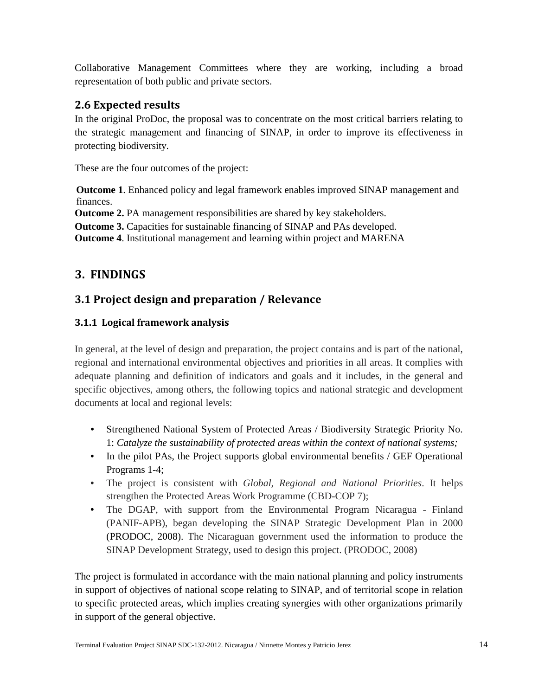Collaborative Management Committees where they are working, including a broad representation of both public and private sectors.

# <span id="page-14-0"></span>**2.6 Expected results**

In the original ProDoc, the proposal was to concentrate on the most critical barriers relating to the strategic management and financing of SINAP, in order to improve its effectiveness in protecting biodiversity.

These are the four outcomes of the project:

**Outcome 1**. Enhanced policy and legal framework enables improved SINAP management and finances.

**Outcome 2.** PA management responsibilities are shared by key stakeholders.

**Outcome 3.** Capacities for sustainable financing of SINAP and PAs developed.

<span id="page-14-1"></span>**Outcome 4**. Institutional management and learning within project and MARENA

# **3. FINDINGS**

# <span id="page-14-2"></span>**3.1 Project design and preparation / Relevance**

## <span id="page-14-3"></span>**3.1.1 Logical framework analysis**

In general, at the level of design and preparation, the project contains and is part of the national, regional and international environmental objectives and priorities in all areas. It complies with adequate planning and definition of indicators and goals and it includes, in the general and specific objectives, among others, the following topics and national strategic and development documents at local and regional levels:

- Strengthened National System of Protected Areas / Biodiversity Strategic Priority No. 1: *Catalyze the sustainability of protected areas within the context of national systems;*
- In the pilot PAs, the Project supports global environmental benefits / GEF Operational Programs 1-4;
- The project is consistent with *Global, Regional and National Priorities*. It helps strengthen the Protected Areas Work Programme (CBD-COP 7);
- The DGAP, with support from the Environmental Program Nicaragua Finland (PANIF-APB), began developing the SINAP Strategic Development Plan in 2000 (PRODOC, 2008). The Nicaraguan government used the information to produce the SINAP Development Strategy, used to design this project. (PRODOC, 2008)

The project is formulated in accordance with the main national planning and policy instruments in support of objectives of national scope relating to SINAP, and of territorial scope in relation to specific protected areas, which implies creating synergies with other organizations primarily in support of the general objective.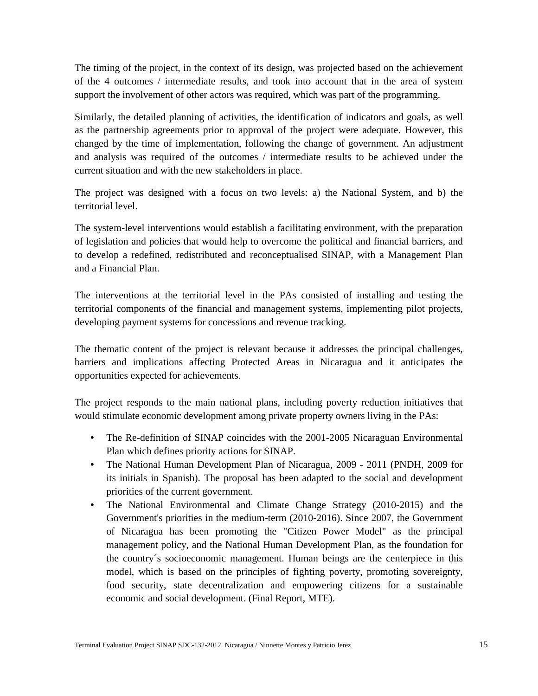The timing of the project, in the context of its design, was projected based on the achievement of the 4 outcomes / intermediate results, and took into account that in the area of system support the involvement of other actors was required, which was part of the programming.

Similarly, the detailed planning of activities, the identification of indicators and goals, as well as the partnership agreements prior to approval of the project were adequate. However, this changed by the time of implementation, following the change of government. An adjustment and analysis was required of the outcomes / intermediate results to be achieved under the current situation and with the new stakeholders in place.

The project was designed with a focus on two levels: a) the National System, and b) the territorial level.

The system-level interventions would establish a facilitating environment, with the preparation of legislation and policies that would help to overcome the political and financial barriers, and to develop a redefined, redistributed and reconceptualised SINAP, with a Management Plan and a Financial Plan.

The interventions at the territorial level in the PAs consisted of installing and testing the territorial components of the financial and management systems, implementing pilot projects, developing payment systems for concessions and revenue tracking.

The thematic content of the project is relevant because it addresses the principal challenges, barriers and implications affecting Protected Areas in Nicaragua and it anticipates the opportunities expected for achievements.

The project responds to the main national plans, including poverty reduction initiatives that would stimulate economic development among private property owners living in the PAs:

- The Re-definition of SINAP coincides with the 2001-2005 Nicaraguan Environmental Plan which defines priority actions for SINAP.
- The National Human Development Plan of Nicaragua, 2009 2011 (PNDH, 2009 for its initials in Spanish). The proposal has been adapted to the social and development priorities of the current government.
- The National Environmental and Climate Change Strategy (2010-2015) and the Government's priorities in the medium-term (2010-2016). Since 2007, the Government of Nicaragua has been promoting the "Citizen Power Model" as the principal management policy, and the National Human Development Plan, as the foundation for the country´s socioeconomic management. Human beings are the centerpiece in this model, which is based on the principles of fighting poverty, promoting sovereignty, food security, state decentralization and empowering citizens for a sustainable economic and social development. (Final Report, MTE).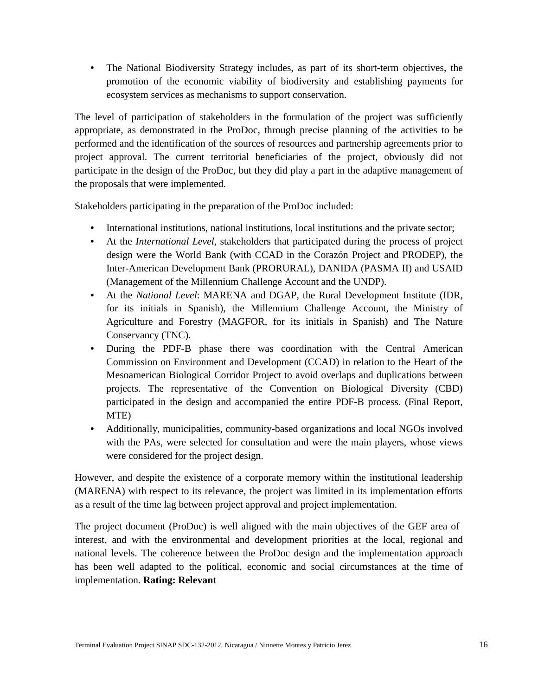The National Biodiversity Strategy includes, as part of its short-term objectives, the promotion of the economic viability of biodiversity and establishing payments for ecosystem services as mechanisms to support conservation.

The level of participation of stakeholders in the formulation of the project was sufficiently appropriate, as demonstrated in the ProDoc, through precise planning of the activities to be performed and the identification of the sources of resources and partnership agreements prior to project approval. The current territorial beneficiaries of the project, obviously did not participate in the design of the ProDoc, but they did play a part in the adaptive management of the proposals that were implemented.

Stakeholders participating in the preparation of the ProDoc included:

- International institutions, national institutions, local institutions and the private sector;
- At the *International Level*, stakeholders that participated during the process of project design were the World Bank (with CCAD in the Corazón Project and PRODEP), the Inter-American Development Bank (PRORURAL), DANIDA (PASMA II) and USAID (Management of the Millennium Challenge Account and the UNDP).
- At the *National Level*: MARENA and DGAP, the Rural Development Institute (IDR, for its initials in Spanish), the Millennium Challenge Account, the Ministry of Agriculture and Forestry (MAGFOR, for its initials in Spanish) and The Nature Conservancy (TNC).
- During the PDF-B phase there was coordination with the Central American Commission on Environment and Development (CCAD) in relation to the Heart of the Mesoamerican Biological Corridor Project to avoid overlaps and duplications between projects. The representative of the Convention on Biological Diversity (CBD) participated in the design and accompanied the entire PDF-B process. (Final Report, MTE)
- Additionally, municipalities, community-based organizations and local NGOs involved with the PAs, were selected for consultation and were the main players, whose views were considered for the project design.

However, and despite the existence of a corporate memory within the institutional leadership (MARENA) with respect to its relevance, the project was limited in its implementation efforts as a result of the time lag between project approval and project implementation.

The project document (ProDoc) is well aligned with the main objectives of the GEF area of interest, and with the environmental and development priorities at the local, regional and national levels. The coherence between the ProDoc design and the implementation approach has been well adapted to the political, economic and social circumstances at the time of implementation. **Rating: Relevant**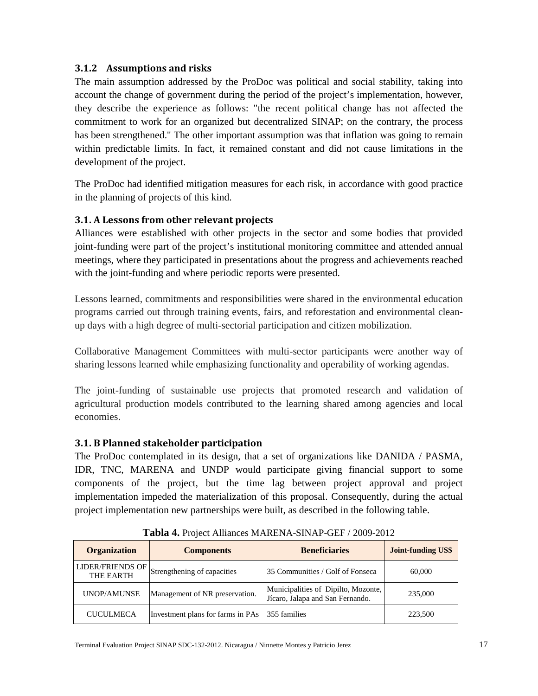#### <span id="page-17-0"></span>**3.1.2 Assumptions and risks**

The main assumption addressed by the ProDoc was political and social stability, taking into account the change of government during the period of the project's implementation, however, they describe the experience as follows: "the recent political change has not affected the commitment to work for an organized but decentralized SINAP; on the contrary, the process has been strengthened." The other important assumption was that inflation was going to remain within predictable limits. In fact, it remained constant and did not cause limitations in the development of the project.

The ProDoc had identified mitigation measures for each risk, in accordance with good practice in the planning of projects of this kind.

## <span id="page-17-1"></span>**3.1. A Lessons from other relevant projects**

Alliances were established with other projects in the sector and some bodies that provided joint-funding were part of the project's institutional monitoring committee and attended annual meetings, where they participated in presentations about the progress and achievements reached with the joint-funding and where periodic reports were presented.

Lessons learned, commitments and responsibilities were shared in the environmental education programs carried out through training events, fairs, and reforestation and environmental cleanup days with a high degree of multi-sectorial participation and citizen mobilization.

Collaborative Management Committees with multi-sector participants were another way of sharing lessons learned while emphasizing functionality and operability of working agendas.

The joint-funding of sustainable use projects that promoted research and validation of agricultural production models contributed to the learning shared among agencies and local economies.

## <span id="page-17-2"></span>**3.1. B Planned stakeholder participation**

The ProDoc contemplated in its design, that a set of organizations like DANIDA / PASMA, IDR, TNC, MARENA and UNDP would participate giving financial support to some components of the project, but the time lag between project approval and project implementation impeded the materialization of this proposal. Consequently, during the actual project implementation new partnerships were built, as described in the following table.

| <b>Organization</b>                  | <b>Components</b>                 | <b>Beneficiaries</b>                                                    | <b>Joint-funding US\$</b> |
|--------------------------------------|-----------------------------------|-------------------------------------------------------------------------|---------------------------|
| <b>LIDER/FRIENDS OF</b><br>THE EARTH | Strengthening of capacities       | 35 Communities / Golf of Fonseca                                        | 60,000                    |
| UNOP/AMUNSE                          | Management of NR preservation.    | Municipalities of Dipilto, Mozonte,<br>Jícaro, Jalapa and San Fernando. | 235,000                   |
| <b>CUCULMECA</b>                     | Investment plans for farms in PAs | 355 families                                                            | 223,500                   |

**Tabla 4.** Project Alliances MARENA-SINAP-GEF / 2009-2012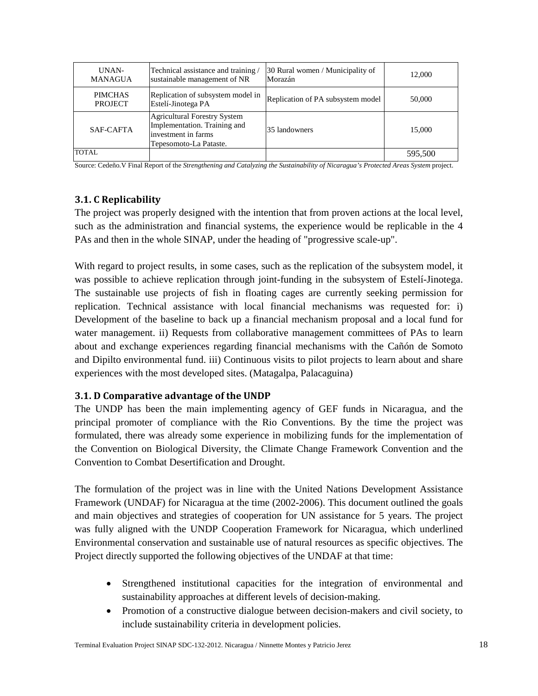| UNAN-<br><b>MANAGUA</b>          | Technical assistance and training<br>sustainable management of NR                                                    | 30 Rural women / Municipality of<br>Morazán | 12,000  |
|----------------------------------|----------------------------------------------------------------------------------------------------------------------|---------------------------------------------|---------|
| <b>PIMCHAS</b><br><b>PROJECT</b> | Replication of subsystem model in<br>Estelí-Jinotega PA                                                              | Replication of PA subsystem model           | 50,000  |
| SAF-CAFTA                        | <b>Agricultural Forestry System</b><br>Implementation. Training and<br>investment in farms<br>Tepesomoto-La Pataste. | 35 landowners                               | 15,000  |
| <b>TOTAL</b>                     |                                                                                                                      |                                             | 595.500 |

Source: Cedeño.V Final Report of the *Strengthening and Catalyzing the Sustainability of Nicaragua's Protected Areas System* project.

#### <span id="page-18-0"></span>**3.1. C Replicability**

The project was properly designed with the intention that from proven actions at the local level, such as the administration and financial systems, the experience would be replicable in the 4 PAs and then in the whole SINAP, under the heading of "progressive scale-up".

With regard to project results, in some cases, such as the replication of the subsystem model, it was possible to achieve replication through joint-funding in the subsystem of Estelí-Jinotega. The sustainable use projects of fish in floating cages are currently seeking permission for replication. Technical assistance with local financial mechanisms was requested for: i) Development of the baseline to back up a financial mechanism proposal and a local fund for water management. ii) Requests from collaborative management committees of PAs to learn about and exchange experiences regarding financial mechanisms with the Cañón de Somoto and Dipilto environmental fund. iii) Continuous visits to pilot projects to learn about and share experiences with the most developed sites. (Matagalpa, Palacaguina)

#### <span id="page-18-1"></span>**3.1. D Comparative advantage of the UNDP**

The UNDP has been the main implementing agency of GEF funds in Nicaragua, and the principal promoter of compliance with the Rio Conventions. By the time the project was formulated, there was already some experience in mobilizing funds for the implementation of the Convention on Biological Diversity, the Climate Change Framework Convention and the Convention to Combat Desertification and Drought.

The formulation of the project was in line with the United Nations Development Assistance Framework (UNDAF) for Nicaragua at the time (2002-2006). This document outlined the goals and main objectives and strategies of cooperation for UN assistance for 5 years. The project was fully aligned with the UNDP Cooperation Framework for Nicaragua, which underlined Environmental conservation and sustainable use of natural resources as specific objectives. The Project directly supported the following objectives of the UNDAF at that time:

- Strengthened institutional capacities for the integration of environmental and sustainability approaches at different levels of decision-making.
- Promotion of a constructive dialogue between decision-makers and civil society, to include sustainability criteria in development policies.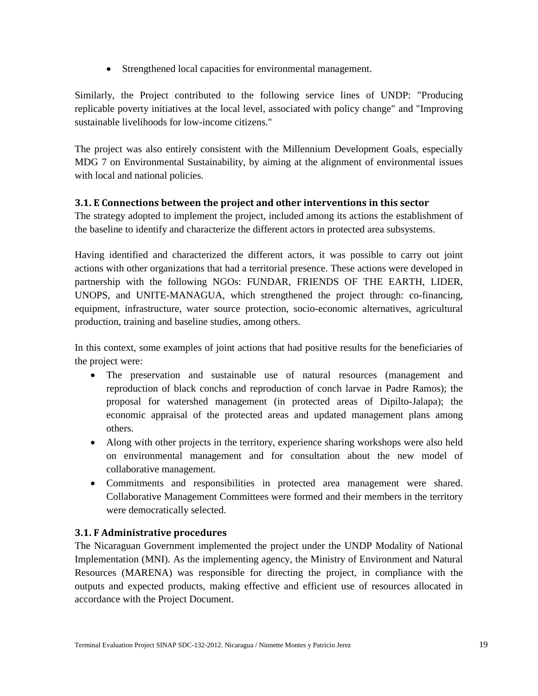• Strengthened local capacities for environmental management.

Similarly, the Project contributed to the following service lines of UNDP: "Producing replicable poverty initiatives at the local level, associated with policy change" and "Improving sustainable livelihoods for low-income citizens."

The project was also entirely consistent with the Millennium Development Goals, especially MDG 7 on Environmental Sustainability, by aiming at the alignment of environmental issues with local and national policies.

#### <span id="page-19-0"></span>**3.1. E Connections between the project and other interventions in this sector**

The strategy adopted to implement the project, included among its actions the establishment of the baseline to identify and characterize the different actors in protected area subsystems.

Having identified and characterized the different actors, it was possible to carry out joint actions with other organizations that had a territorial presence. These actions were developed in partnership with the following NGOs: FUNDAR, FRIENDS OF THE EARTH, LIDER, UNOPS, and UNITE-MANAGUA, which strengthened the project through: co-financing, equipment, infrastructure, water source protection, socio-economic alternatives, agricultural production, training and baseline studies, among others.

In this context, some examples of joint actions that had positive results for the beneficiaries of the project were:

- The preservation and sustainable use of natural resources (management and reproduction of black conchs and reproduction of conch larvae in Padre Ramos); the proposal for watershed management (in protected areas of Dipilto-Jalapa); the economic appraisal of the protected areas and updated management plans among others.
- Along with other projects in the territory, experience sharing workshops were also held on environmental management and for consultation about the new model of collaborative management.
- Commitments and responsibilities in protected area management were shared. Collaborative Management Committees were formed and their members in the territory were democratically selected.

## <span id="page-19-1"></span>**3.1. F Administrative procedures**

The Nicaraguan Government implemented the project under the UNDP Modality of National Implementation (MNI). As the implementing agency, the Ministry of Environment and Natural Resources (MARENA) was responsible for directing the project, in compliance with the outputs and expected products, making effective and efficient use of resources allocated in accordance with the Project Document.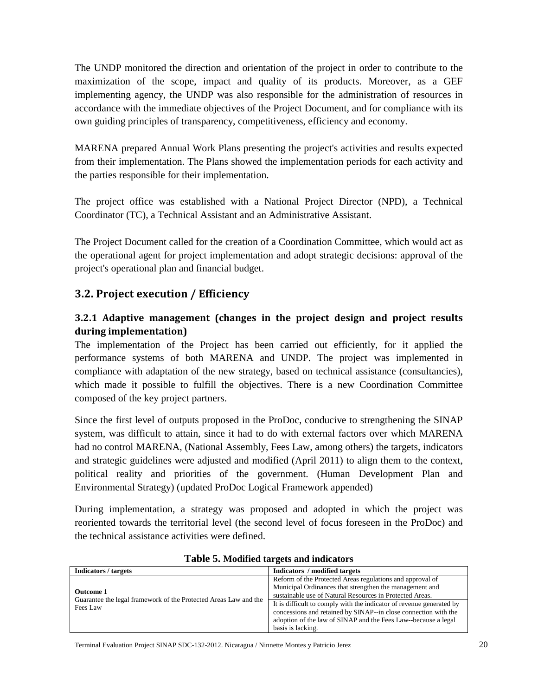The UNDP monitored the direction and orientation of the project in order to contribute to the maximization of the scope, impact and quality of its products. Moreover, as a GEF implementing agency, the UNDP was also responsible for the administration of resources in accordance with the immediate objectives of the Project Document, and for compliance with its own guiding principles of transparency, competitiveness, efficiency and economy.

MARENA prepared Annual Work Plans presenting the project's activities and results expected from their implementation. The Plans showed the implementation periods for each activity and the parties responsible for their implementation.

The project office was established with a National Project Director (NPD), a Technical Coordinator (TC), a Technical Assistant and an Administrative Assistant.

The Project Document called for the creation of a Coordination Committee, which would act as the operational agent for project implementation and adopt strategic decisions: approval of the project's operational plan and financial budget.

## **3.2. Project execution / Efficiency**

## <span id="page-20-0"></span>**3.2.1 Adaptive management (changes in the project design and project results during implementation)**

The implementation of the Project has been carried out efficiently, for it applied the performance systems of both MARENA and UNDP. The project was implemented in compliance with adaptation of the new strategy, based on technical assistance (consultancies), which made it possible to fulfill the objectives. There is a new Coordination Committee composed of the key project partners.

Since the first level of outputs proposed in the ProDoc, conducive to strengthening the SINAP system, was difficult to attain, since it had to do with external factors over which MARENA had no control MARENA, (National Assembly, Fees Law, among others) the targets, indicators and strategic guidelines were adjusted and modified (April 2011) to align them to the context, political reality and priorities of the government. (Human Development Plan and Environmental Strategy) (updated ProDoc Logical Framework appended)

During implementation, a strategy was proposed and adopted in which the project was reoriented towards the territorial level (the second level of focus foreseen in the ProDoc) and the technical assistance activities were defined.

| Indicators / targets                                                                             | Indicators / modified targets                                                                                                                                                                                                                                                                                                                                                                                      |
|--------------------------------------------------------------------------------------------------|--------------------------------------------------------------------------------------------------------------------------------------------------------------------------------------------------------------------------------------------------------------------------------------------------------------------------------------------------------------------------------------------------------------------|
| <b>Outcome 1</b><br>Guarantee the legal framework of the Protected Areas Law and the<br>Fees Law | Reform of the Protected Areas regulations and approval of<br>Municipal Ordinances that strengthen the management and<br>sustainable use of Natural Resources in Protected Areas.<br>It is difficult to comply with the indicator of revenue generated by<br>concessions and retained by SINAP--in close connection with the<br>adoption of the law of SINAP and the Fees Law--because a legal<br>basis is lacking. |

#### **Table 5. Modified targets and indicators**

Terminal Evaluation Project SINAP SDC-132-2012. Nicaragua / Ninnette Montes y Patricio Jerez 20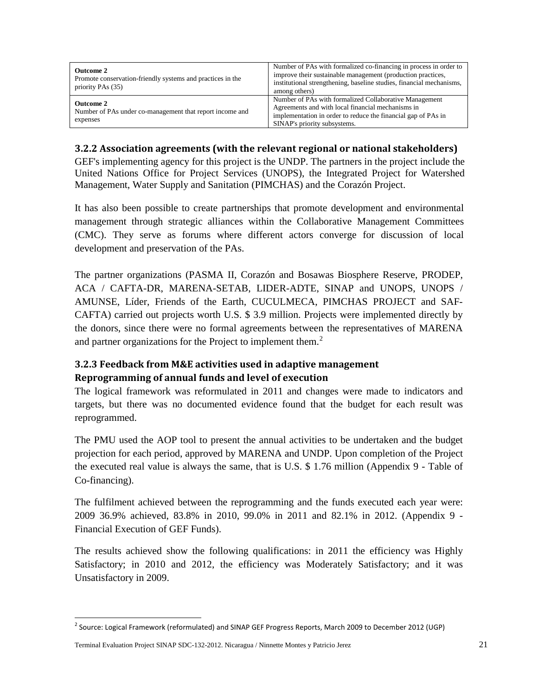| <b>Outcome 2</b><br>Promote conservation-friendly systems and practices in the<br>priority PAs (35) | Number of PAs with formalized co-financing in process in order to<br>improve their sustainable management (production practices,<br>institutional strengthening, baseline studies, financial mechanisms,<br>among others) |
|-----------------------------------------------------------------------------------------------------|---------------------------------------------------------------------------------------------------------------------------------------------------------------------------------------------------------------------------|
| <b>Outcome 2</b><br>Number of PAs under co-management that report income and<br>expenses            | Number of PAs with formalized Collaborative Management<br>Agreements and with local financial mechanisms in<br>implementation in order to reduce the financial gap of PAs in<br>SINAP's priority subsystems.              |

### <span id="page-21-0"></span>**3.2.2 Association agreements (with the relevant regional or national stakeholders)**

GEF's implementing agency for this project is the UNDP. The partners in the project include the United Nations Office for Project Services (UNOPS), the Integrated Project for Watershed Management, Water Supply and Sanitation (PIMCHAS) and the Corazón Project.

It has also been possible to create partnerships that promote development and environmental management through strategic alliances within the Collaborative Management Committees (CMC). They serve as forums where different actors converge for discussion of local development and preservation of the PAs.

The partner organizations (PASMA II, Corazón and Bosawas Biosphere Reserve, PRODEP, ACA / CAFTA-DR, MARENA-SETAB, LIDER-ADTE, SINAP and UNOPS, UNOPS / AMUNSE, Líder, Friends of the Earth, CUCULMECA, PIMCHAS PROJECT and SAF-CAFTA) carried out projects worth U.S. \$ 3.9 million. Projects were implemented directly by the donors, since there were no formal agreements between the representatives of MARENA and partner organizations for the Project to implement them.<sup>[2](#page-21-3)</sup>

## <span id="page-21-2"></span><span id="page-21-1"></span>**3.2.3 Feedback from M&E activities used in adaptive management Reprogramming of annual funds and level of execution**

The logical framework was reformulated in 2011 and changes were made to indicators and targets, but there was no documented evidence found that the budget for each result was reprogrammed.

The PMU used the AOP tool to present the annual activities to be undertaken and the budget projection for each period, approved by MARENA and UNDP. Upon completion of the Project the executed real value is always the same, that is U.S. \$ 1.76 million (Appendix 9 - Table of Co-financing).

The fulfilment achieved between the reprogramming and the funds executed each year were: 2009 36.9% achieved, 83.8% in 2010, 99.0% in 2011 and 82.1% in 2012. (Appendix 9 - Financial Execution of GEF Funds).

The results achieved show the following qualifications: in 2011 the efficiency was Highly Satisfactory; in 2010 and 2012, the efficiency was Moderately Satisfactory; and it was Unsatisfactory in 2009.

<span id="page-21-3"></span><sup>&</sup>lt;sup>2</sup> Source: Logical Framework (reformulated) and SINAP GEF Progress Reports, March 2009 to December 2012 (UGP)

Terminal Evaluation Project SINAP SDC-132-2012. Nicaragua / Ninnette Montes y Patricio Jerez 21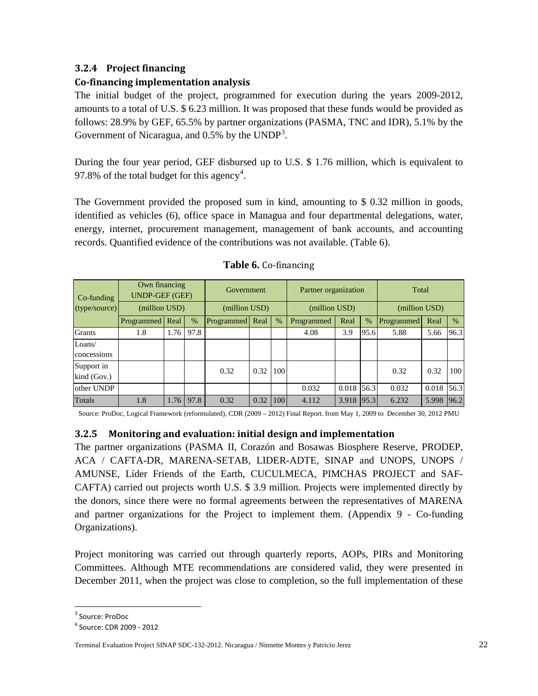## <span id="page-22-0"></span>**3.2.4 Project financing**

#### **Co-financing implementation analysis**

The initial budget of the project, programmed for execution during the years 2009-2012, amounts to a total of U.S. \$ 6.23 million. It was proposed that these funds would be provided as follows: 28.9% by GEF, 65.5% by partner organizations (PASMA, TNC and IDR), 5.1% by the Government of Nicaragua, and 0.5% by the  $\text{UNDP}^3$  $\text{UNDP}^3$ .

During the four year period, GEF disbursed up to U.S. \$ 1.76 million, which is equivalent to 97.8% of the total budget for this agency<sup>[4](#page-22-3)</sup>.

The Government provided the proposed sum in kind, amounting to \$ 0.32 million in goods, identified as vehicles (6), office space in Managua and four departmental delegations, water, energy, internet, procurement management, management of bank accounts, and accounting records. Quantified evidence of the contributions was not available. (Table 6).

| Co-funding                | Own financing<br><b>UNDP-GEF (GEF)</b> |      | Government |                 | Partner organization |               |            | Total         |      |            |              |      |
|---------------------------|----------------------------------------|------|------------|-----------------|----------------------|---------------|------------|---------------|------|------------|--------------|------|
| (type/source)             | (million USD)                          |      |            | (million USD)   |                      | (million USD) |            | (million USD) |      |            |              |      |
|                           | Programmed   Real                      |      | $\%$       | Programmed Real |                      | $\%$          | Programmed | Real          | $\%$ | Programmed | Real         | $\%$ |
| <b>Grants</b>             | 1.8                                    | 1.76 | 97.8       |                 |                      |               | 4.08       | 3.9           | 95.6 | 5.88       | 5.66         | 96.3 |
| Loans/                    |                                        |      |            |                 |                      |               |            |               |      |            |              |      |
| concessions               |                                        |      |            |                 |                      |               |            |               |      |            |              |      |
| Support in<br>kind (Gov.) |                                        |      |            | 0.32            | 0.32                 | 100           |            |               |      | 0.32       | 0.32         | 100  |
| other UNDP                |                                        |      |            |                 |                      |               | 0.032      | 0.018         | 56.3 | 0.032      | $0.018$ 56.3 |      |
| Totals                    | 1.8                                    | 1.76 | 97.8       | 0.32            | 0.32                 | 100           | 4.112      | 3.918         | 95.3 | 6.232      | 5.998        | 96.2 |

Source: ProDoc, Logical Framework (reformulated), CDR (2009 – 2012) Final Report. from May 1, 2009 to December 30, 2012 PMU

#### <span id="page-22-1"></span>**3.2.5 Monitoring and evaluation: initial design and implementation**

The partner organizations (PASMA II, Corazón and Bosawas Biosphere Reserve, PRODEP, ACA / CAFTA-DR, MARENA-SETAB, LIDER-ADTE, SINAP and UNOPS, UNOPS / AMUNSE, Líder Friends of the Earth, CUCULMECA, PIMCHAS PROJECT and SAF-CAFTA) carried out projects worth U.S. \$ 3.9 million. Projects were implemented directly by the donors, since there were no formal agreements between the representatives of MARENA and partner organizations for the Project to implement them. (Appendix 9 - Co-funding Organizations).

Project monitoring was carried out through quarterly reports, AOPs, PIRs and Monitoring Committees. Although MTE recommendations are considered valid, they were presented in December 2011, when the project was close to completion, so the full implementation of these

<span id="page-22-2"></span> <sup>3</sup> Source: ProDoc

<span id="page-22-3"></span><sup>4</sup> Source: CDR 2009 - 2012

Terminal Evaluation Project SINAP SDC-132-2012. Nicaragua / Ninnette Montes y Patricio Jerez 22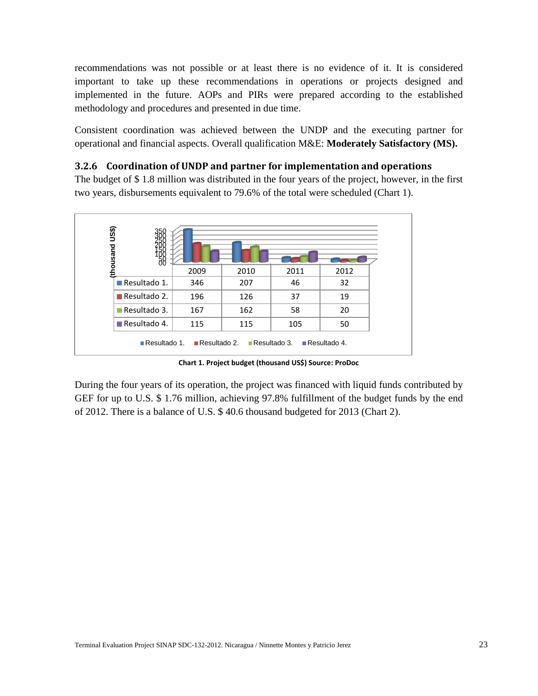recommendations was not possible or at least there is no evidence of it. It is considered important to take up these recommendations in operations or projects designed and implemented in the future. AOPs and PIRs were prepared according to the established methodology and procedures and presented in due time.

Consistent coordination was achieved between the UNDP and the executing partner for operational and financial aspects. Overall qualification M&E: **Moderately Satisfactory (MS).**

#### <span id="page-23-0"></span>**3.2.6 Coordination of UNDP and partner for implementation and operations**

The budget of \$ 1.8 million was distributed in the four years of the project, however, in the first two years, disbursements equivalent to 79.6% of the total were scheduled (Chart 1).



**Chart 1. Project budget (thousand US\$) Source: ProDoc**

During the four years of its operation, the project was financed with liquid funds contributed by GEF for up to U.S. \$ 1.76 million, achieving 97.8% fulfillment of the budget funds by the end of 2012. There is a balance of U.S. \$ 40.6 thousand budgeted for 2013 (Chart 2).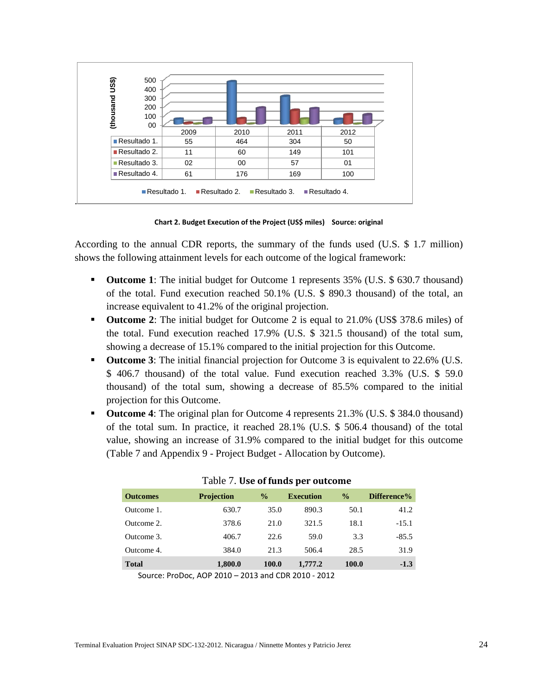

**Chart 2. Budget Execution of the Project (US\$ miles) Source: original**

According to the annual CDR reports, the summary of the funds used (U.S. \$ 1.7 million) shows the following attainment levels for each outcome of the logical framework:

- **Outcome 1**: The initial budget for Outcome 1 represents 35% (U.S. \$ 630.7 thousand) of the total. Fund execution reached 50.1% (U.S. \$ 890.3 thousand) of the total, an increase equivalent to 41.2% of the original projection.
- **Outcome 2**: The initial budget for Outcome 2 is equal to 21.0% (US\$ 378.6 miles) of the total. Fund execution reached 17.9% (U.S. \$ 321.5 thousand) of the total sum, showing a decrease of 15.1% compared to the initial projection for this Outcome.
- **Outcome 3**: The initial financial projection for Outcome 3 is equivalent to 22.6% (U.S. \$ 406.7 thousand) of the total value. Fund execution reached 3.3% (U.S. \$ 59.0 thousand) of the total sum, showing a decrease of 85.5% compared to the initial projection for this Outcome.
- **Outcome 4**: The original plan for Outcome 4 represents 21.3% (U.S. \$ 384.0 thousand) of the total sum. In practice, it reached 28.1% (U.S. \$ 506.4 thousand) of the total value, showing an increase of 31.9% compared to the initial budget for this outcome (Table 7 and Appendix 9 - Project Budget - Allocation by Outcome).

| <b>Outcomes</b> | <b>Projection</b> | $\frac{0}{0}$ | <b>Execution</b> | $\frac{0}{0}$ | Difference% |
|-----------------|-------------------|---------------|------------------|---------------|-------------|
| Outcome 1.      | 630.7             | 35.0          | 890.3            | 50.1          | 41.2        |
| Outcome 2.      | 378.6             | 21.0          | 321.5            | 18.1          | $-15.1$     |
| Outcome 3.      | 406.7             | 22.6          | 59.0             | 3.3           | $-85.5$     |
| Outcome 4.      | 384.0             | 21.3          | 506.4            | 28.5          | 31.9        |
| <b>Total</b>    | 1,800.0           | 100.0         | 1,777.2          | 100.0         | $-1.3$      |

|  |  |  |  | Table 7. Use of funds per outcome |
|--|--|--|--|-----------------------------------|
|--|--|--|--|-----------------------------------|

Source: ProDoc, AOP 2010 – 2013 and CDR 2010 - 2012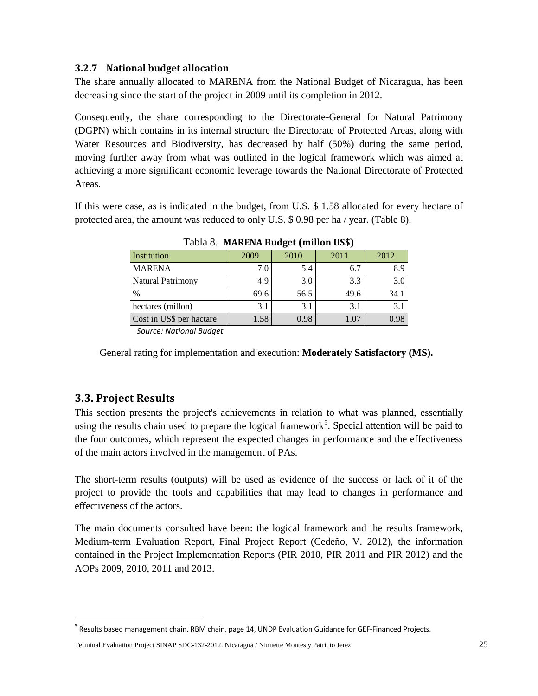#### <span id="page-25-0"></span>**3.2.7 National budget allocation**

The share annually allocated to MARENA from the National Budget of Nicaragua, has been decreasing since the start of the project in 2009 until its completion in 2012.

Consequently, the share corresponding to the Directorate-General for Natural Patrimony (DGPN) which contains in its internal structure the Directorate of Protected Areas, along with Water Resources and Biodiversity, has decreased by half (50%) during the same period, moving further away from what was outlined in the logical framework which was aimed at achieving a more significant economic leverage towards the National Directorate of Protected Areas.

If this were case, as is indicated in the budget, from U.S. \$ 1.58 allocated for every hectare of protected area, the amount was reduced to only U.S. \$ 0.98 per ha / year. (Table 8).

| Institution              | 2009 | 2010 | 2011 | 2012 |
|--------------------------|------|------|------|------|
| <b>MARENA</b>            | 7.0  | 5.4  | 6.7  | 8.9  |
| <b>Natural Patrimony</b> | 4.9  | 3.0  | 3.3  | 3.0  |
| $\%$                     | 69.6 | 56.5 | 49.6 | 34.1 |
| hectares (millon)        | 3.1  | 3.1  | 3.1  | 3.1  |
| Cost in US\$ per hactare | 1.58 | 0.98 | 1.07 | 0.98 |

Tabla 8. **MARENA Budget (millon US\$)**

*Source: National Budget*

General rating for implementation and execution: **Moderately Satisfactory (MS).**

# <span id="page-25-1"></span>**3.3. Project Results**

This section presents the project's achievements in relation to what was planned, essentially using the results chain used to prepare the logical framework<sup>[5](#page-25-2)</sup>. Special attention will be paid to the four outcomes, which represent the expected changes in performance and the effectiveness of the main actors involved in the management of PAs.

The short-term results (outputs) will be used as evidence of the success or lack of it of the project to provide the tools and capabilities that may lead to changes in performance and effectiveness of the actors.

The main documents consulted have been: the logical framework and the results framework, Medium-term Evaluation Report, Final Project Report (Cedeño, V. 2012), the information contained in the Project Implementation Reports (PIR 2010, PIR 2011 and PIR 2012) and the AOPs 2009, 2010, 2011 and 2013.

<span id="page-25-2"></span><sup>&</sup>lt;sup>5</sup> Results based management chain. RBM chain, page 14, UNDP Evaluation Guidance for GEF-Financed Projects.

Terminal Evaluation Project SINAP SDC-132-2012. Nicaragua / Ninnette Montes y Patricio Jerez 25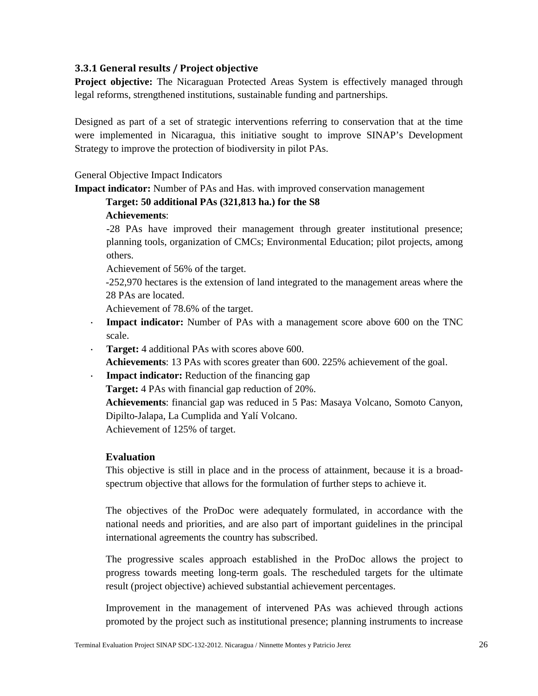#### <span id="page-26-0"></span>**3.3.1 General results / Project objective**

**Project objective:** The Nicaraguan Protected Areas System is effectively managed through legal reforms, strengthened institutions, sustainable funding and partnerships.

Designed as part of a set of strategic interventions referring to conservation that at the time were implemented in Nicaragua, this initiative sought to improve SINAP's Development Strategy to improve the protection of biodiversity in pilot PAs.

General Objective Impact Indicators

**Impact indicator:** Number of PAs and Has. with improved conservation management

# **Target: 50 additional PAs (321,813 ha.) for the S8**

## **Achievements**:

-28 PAs have improved their management through greater institutional presence; planning tools, organization of CMCs; Environmental Education; pilot projects, among others.

Achievement of 56% of the target.

-252,970 hectares is the extension of land integrated to the management areas where the 28 PAs are located.

Achievement of 78.6% of the target.

- **Impact indicator:** Number of PAs with a management score above 600 on the TNC scale.
- **Target:** 4 additional PAs with scores above 600.

**Achievements**: 13 PAs with scores greater than 600. 225% achievement of the goal.

**Impact indicator:** Reduction of the financing gap

**Target:** 4 PAs with financial gap reduction of 20%.

**Achievements**: financial gap was reduced in 5 Pas: Masaya Volcano, Somoto Canyon, Dipilto-Jalapa, La Cumplida and Yalí Volcano.

Achievement of 125% of target.

#### **Evaluation**

This objective is still in place and in the process of attainment, because it is a broadspectrum objective that allows for the formulation of further steps to achieve it.

The objectives of the ProDoc were adequately formulated, in accordance with the national needs and priorities, and are also part of important guidelines in the principal international agreements the country has subscribed.

The progressive scales approach established in the ProDoc allows the project to progress towards meeting long-term goals. The rescheduled targets for the ultimate result (project objective) achieved substantial achievement percentages.

Improvement in the management of intervened PAs was achieved through actions promoted by the project such as institutional presence; planning instruments to increase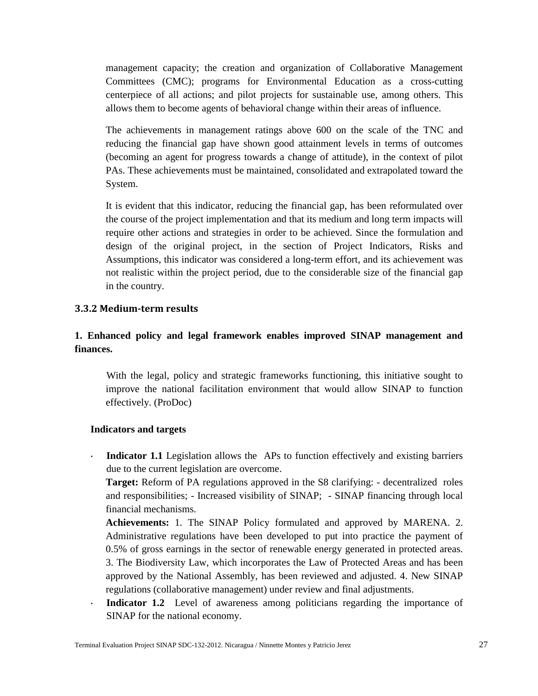management capacity; the creation and organization of Collaborative Management Committees (CMC); programs for Environmental Education as a cross-cutting centerpiece of all actions; and pilot projects for sustainable use, among others. This allows them to become agents of behavioral change within their areas of influence.

The achievements in management ratings above 600 on the scale of the TNC and reducing the financial gap have shown good attainment levels in terms of outcomes (becoming an agent for progress towards a change of attitude), in the context of pilot PAs. These achievements must be maintained, consolidated and extrapolated toward the System.

It is evident that this indicator, reducing the financial gap, has been reformulated over the course of the project implementation and that its medium and long term impacts will require other actions and strategies in order to be achieved. Since the formulation and design of the original project, in the section of Project Indicators, Risks and Assumptions, this indicator was considered a long-term effort, and its achievement was not realistic within the project period, due to the considerable size of the financial gap in the country.

#### <span id="page-27-0"></span>**3.3.2 Medium-term results**

## **1. Enhanced policy and legal framework enables improved SINAP management and finances.**

With the legal, policy and strategic frameworks functioning, this initiative sought to improve the national facilitation environment that would allow SINAP to function effectively. (ProDoc)

#### **Indicators and targets**

 **Indicator 1.1** Legislation allows the APs to function effectively and existing barriers due to the current legislation are overcome.

**Target:** Reform of PA regulations approved in the S8 clarifying: - decentralized roles and responsibilities; - Increased visibility of SINAP; - SINAP financing through local financial mechanisms.

**Achievements:** 1. The SINAP Policy formulated and approved by MARENA. 2. Administrative regulations have been developed to put into practice the payment of 0.5% of gross earnings in the sector of renewable energy generated in protected areas. 3. The Biodiversity Law, which incorporates the Law of Protected Areas and has been approved by the National Assembly, has been reviewed and adjusted. 4. New SINAP regulations (collaborative management) under review and final adjustments.

 **Indicator 1.2** Level of awareness among politicians regarding the importance of SINAP for the national economy.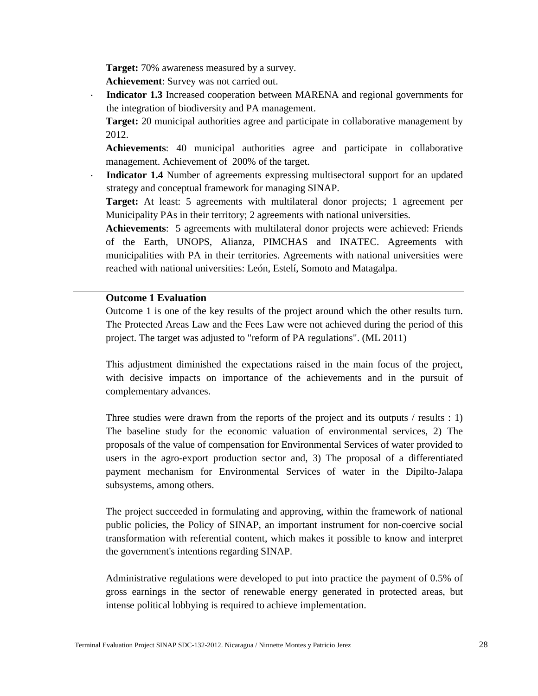**Target:** 70% awareness measured by a survey.

**Achievement**: Survey was not carried out.

- **Indicator 1.3** Increased cooperation between MARENA and regional governments for the integration of biodiversity and PA management.
	- **Target:** 20 municipal authorities agree and participate in collaborative management by 2012.

**Achievements**: 40 municipal authorities agree and participate in collaborative management. Achievement of 200% of the target.

 **Indicator 1.4** Number of agreements expressing multisectoral support for an updated strategy and conceptual framework for managing SINAP.

**Target:** At least: 5 agreements with multilateral donor projects; 1 agreement per Municipality PAs in their territory; 2 agreements with national universities.

**Achievements**: 5 agreements with multilateral donor projects were achieved: Friends of the Earth, UNOPS, Alianza, PIMCHAS and INATEC. Agreements with municipalities with PA in their territories. Agreements with national universities were reached with national universities: León, Estelí, Somoto and Matagalpa.

#### **Outcome 1 Evaluation**

Outcome 1 is one of the key results of the project around which the other results turn. The Protected Areas Law and the Fees Law were not achieved during the period of this project. The target was adjusted to "reform of PA regulations". (ML 2011)

This adjustment diminished the expectations raised in the main focus of the project, with decisive impacts on importance of the achievements and in the pursuit of complementary advances.

Three studies were drawn from the reports of the project and its outputs / results : 1) The baseline study for the economic valuation of environmental services, 2) The proposals of the value of compensation for Environmental Services of water provided to users in the agro-export production sector and, 3) The proposal of a differentiated payment mechanism for Environmental Services of water in the Dipilto-Jalapa subsystems, among others.

The project succeeded in formulating and approving, within the framework of national public policies, the Policy of SINAP, an important instrument for non-coercive social transformation with referential content, which makes it possible to know and interpret the government's intentions regarding SINAP.

Administrative regulations were developed to put into practice the payment of 0.5% of gross earnings in the sector of renewable energy generated in protected areas, but intense political lobbying is required to achieve implementation.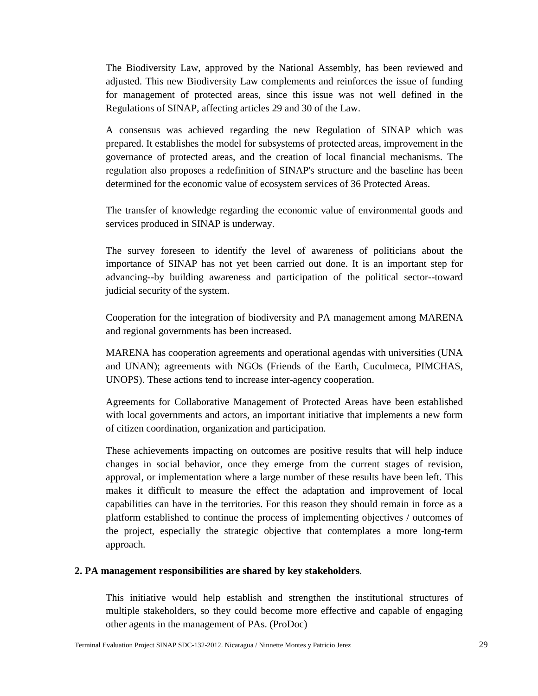The Biodiversity Law, approved by the National Assembly, has been reviewed and adjusted. This new Biodiversity Law complements and reinforces the issue of funding for management of protected areas, since this issue was not well defined in the Regulations of SINAP, affecting articles 29 and 30 of the Law.

A consensus was achieved regarding the new Regulation of SINAP which was prepared. It establishes the model for subsystems of protected areas, improvement in the governance of protected areas, and the creation of local financial mechanisms. The regulation also proposes a redefinition of SINAP's structure and the baseline has been determined for the economic value of ecosystem services of 36 Protected Areas.

The transfer of knowledge regarding the economic value of environmental goods and services produced in SINAP is underway.

The survey foreseen to identify the level of awareness of politicians about the importance of SINAP has not yet been carried out done. It is an important step for advancing--by building awareness and participation of the political sector--toward judicial security of the system.

Cooperation for the integration of biodiversity and PA management among MARENA and regional governments has been increased.

MARENA has cooperation agreements and operational agendas with universities (UNA and UNAN); agreements with NGOs (Friends of the Earth, Cuculmeca, PIMCHAS, UNOPS). These actions tend to increase inter-agency cooperation.

Agreements for Collaborative Management of Protected Areas have been established with local governments and actors, an important initiative that implements a new form of citizen coordination, organization and participation.

These achievements impacting on outcomes are positive results that will help induce changes in social behavior, once they emerge from the current stages of revision, approval, or implementation where a large number of these results have been left. This makes it difficult to measure the effect the adaptation and improvement of local capabilities can have in the territories. For this reason they should remain in force as a platform established to continue the process of implementing objectives / outcomes of the project, especially the strategic objective that contemplates a more long-term approach.

#### **2. PA management responsibilities are shared by key stakeholders**.

This initiative would help establish and strengthen the institutional structures of multiple stakeholders, so they could become more effective and capable of engaging other agents in the management of PAs. (ProDoc)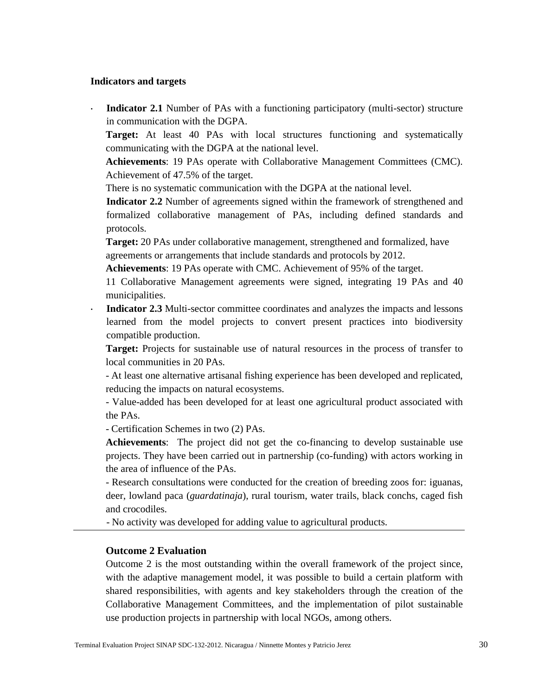#### **Indicators and targets**

 **Indicator 2.1** Number of PAs with a functioning participatory (multi-sector) structure in communication with the DGPA.

**Target:** At least 40 PAs with local structures functioning and systematically communicating with the DGPA at the national level.

**Achievements**: 19 PAs operate with Collaborative Management Committees (CMC). Achievement of 47.5% of the target.

There is no systematic communication with the DGPA at the national level.

**Indicator 2.2** Number of agreements signed within the framework of strengthened and formalized collaborative management of PAs, including defined standards and protocols.

**Target:** 20 PAs under collaborative management, strengthened and formalized, have agreements or arrangements that include standards and protocols by 2012.

**Achievements**: 19 PAs operate with CMC. Achievement of 95% of the target.

11 Collaborative Management agreements were signed, integrating 19 PAs and 40 municipalities.

 **Indicator 2.3** Multi-sector committee coordinates and analyzes the impacts and lessons learned from the model projects to convert present practices into biodiversity compatible production.

**Target:** Projects for sustainable use of natural resources in the process of transfer to local communities in 20 PAs.

- At least one alternative artisanal fishing experience has been developed and replicated, reducing the impacts on natural ecosystems.

- Value-added has been developed for at least one agricultural product associated with the PAs.

- Certification Schemes in two (2) PAs.

**Achievements**: The project did not get the co-financing to develop sustainable use projects. They have been carried out in partnership (co-funding) with actors working in the area of influence of the PAs.

- Research consultations were conducted for the creation of breeding zoos for: iguanas, deer, lowland paca (*guardatinaja*), rural tourism, water trails, black conchs, caged fish and crocodiles.

- No activity was developed for adding value to agricultural products.

#### **Outcome 2 Evaluation**

Outcome 2 is the most outstanding within the overall framework of the project since, with the adaptive management model, it was possible to build a certain platform with shared responsibilities, with agents and key stakeholders through the creation of the Collaborative Management Committees, and the implementation of pilot sustainable use production projects in partnership with local NGOs, among others.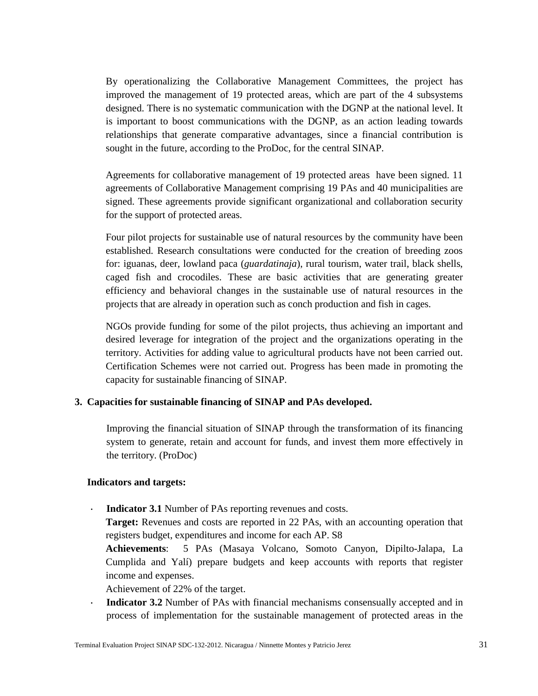By operationalizing the Collaborative Management Committees, the project has improved the management of 19 protected areas, which are part of the 4 subsystems designed. There is no systematic communication with the DGNP at the national level. It is important to boost communications with the DGNP, as an action leading towards relationships that generate comparative advantages, since a financial contribution is sought in the future, according to the ProDoc, for the central SINAP.

Agreements for collaborative management of 19 protected areas have been signed. 11 agreements of Collaborative Management comprising 19 PAs and 40 municipalities are signed. These agreements provide significant organizational and collaboration security for the support of protected areas.

Four pilot projects for sustainable use of natural resources by the community have been established. Research consultations were conducted for the creation of breeding zoos for: iguanas, deer, lowland paca (*guardatinaja*), rural tourism, water trail, black shells, caged fish and crocodiles. These are basic activities that are generating greater efficiency and behavioral changes in the sustainable use of natural resources in the projects that are already in operation such as conch production and fish in cages.

NGOs provide funding for some of the pilot projects, thus achieving an important and desired leverage for integration of the project and the organizations operating in the territory. Activities for adding value to agricultural products have not been carried out. Certification Schemes were not carried out. Progress has been made in promoting the capacity for sustainable financing of SINAP.

#### **3. Capacities for sustainable financing of SINAP and PAs developed.**

Improving the financial situation of SINAP through the transformation of its financing system to generate, retain and account for funds, and invest them more effectively in the territory. (ProDoc)

#### **Indicators and targets:**

**Indicator 3.1** Number of PAs reporting revenues and costs.

**Target:** Revenues and costs are reported in 22 PAs, with an accounting operation that registers budget, expenditures and income for each AP. S8

**Achievements**: 5 PAs (Masaya Volcano, Somoto Canyon, Dipilto-Jalapa, La Cumplida and Yalí) prepare budgets and keep accounts with reports that register income and expenses.

Achievement of 22% of the target.

 **Indicator 3.2** Number of PAs with financial mechanisms consensually accepted and in process of implementation for the sustainable management of protected areas in the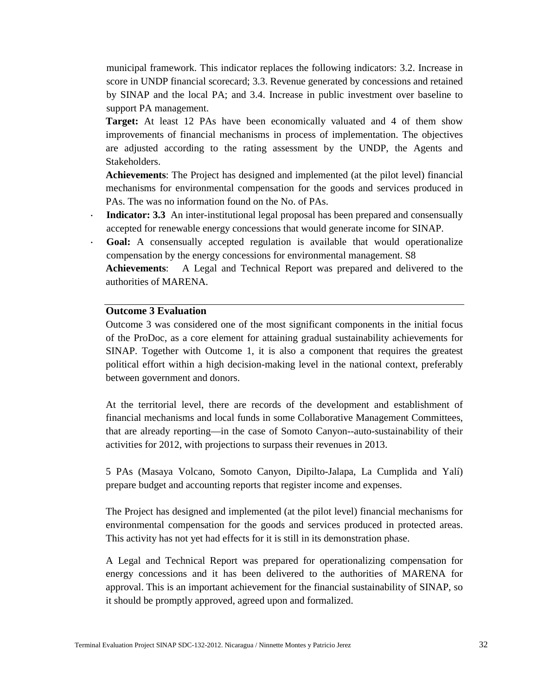municipal framework. This indicator replaces the following indicators: 3.2. Increase in score in UNDP financial scorecard; 3.3. Revenue generated by concessions and retained by SINAP and the local PA; and 3.4. Increase in public investment over baseline to support PA management.

**Target:** At least 12 PAs have been economically valuated and 4 of them show improvements of financial mechanisms in process of implementation. The objectives are adjusted according to the rating assessment by the UNDP, the Agents and Stakeholders.

**Achievements**: The Project has designed and implemented (at the pilot level) financial mechanisms for environmental compensation for the goods and services produced in PAs. The was no information found on the No. of PAs.

- **Indicator: 3.3** An inter-institutional legal proposal has been prepared and consensually accepted for renewable energy concessions that would generate income for SINAP.
- **Goal:** A consensually accepted regulation is available that would operationalize compensation by the energy concessions for environmental management. S8

**Achievements**: A Legal and Technical Report was prepared and delivered to the authorities of MARENA.

#### **Outcome 3 Evaluation**

Outcome 3 was considered one of the most significant components in the initial focus of the ProDoc, as a core element for attaining gradual sustainability achievements for SINAP. Together with Outcome 1, it is also a component that requires the greatest political effort within a high decision-making level in the national context, preferably between government and donors.

At the territorial level, there are records of the development and establishment of financial mechanisms and local funds in some Collaborative Management Committees, that are already reporting—in the case of Somoto Canyon--auto-sustainability of their activities for 2012, with projections to surpass their revenues in 2013.

5 PAs (Masaya Volcano, Somoto Canyon, Dipilto-Jalapa, La Cumplida and Yalí) prepare budget and accounting reports that register income and expenses.

The Project has designed and implemented (at the pilot level) financial mechanisms for environmental compensation for the goods and services produced in protected areas. This activity has not yet had effects for it is still in its demonstration phase.

A Legal and Technical Report was prepared for operationalizing compensation for energy concessions and it has been delivered to the authorities of MARENA for approval. This is an important achievement for the financial sustainability of SINAP, so it should be promptly approved, agreed upon and formalized.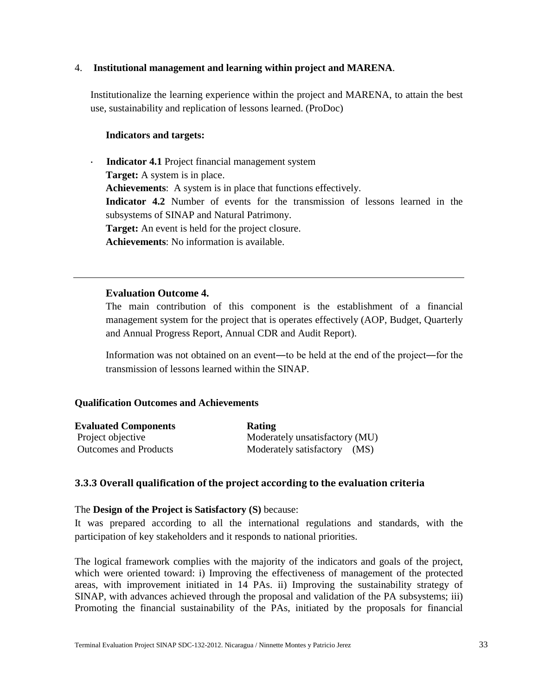#### 4. **Institutional management and learning within project and MARENA**.

Institutionalize the learning experience within the project and MARENA, to attain the best use, sustainability and replication of lessons learned. (ProDoc)

#### **Indicators and targets:**

 **Indicator 4.1** Project financial management system **Target:** A system is in place. **Achievements**: A system is in place that functions effectively. **Indicator 4.2** Number of events for the transmission of lessons learned in the subsystems of SINAP and Natural Patrimony. **Target:** An event is held for the project closure. **Achievements**: No information is available.

#### **Evaluation Outcome 4.**

The main contribution of this component is the establishment of a financial management system for the project that is operates effectively (AOP, Budget, Quarterly and Annual Progress Report, Annual CDR and Audit Report).

Information was not obtained on an event—to be held at the end of the project—for the transmission of lessons learned within the SINAP.

#### **Qualification Outcomes and Achievements**

| <b>Evaluated Components</b>  | <b>Rating</b>                  |
|------------------------------|--------------------------------|
| Project objective            | Moderately unsatisfactory (MU) |
| <b>Outcomes and Products</b> | Moderately satisfactory (MS)   |

#### <span id="page-33-0"></span>**3.3.3 Overall qualification of the project according to the evaluation criteria**

#### The **Design of the Project is Satisfactory (S)** because:

It was prepared according to all the international regulations and standards, with the participation of key stakeholders and it responds to national priorities.

The logical framework complies with the majority of the indicators and goals of the project, which were oriented toward: i) Improving the effectiveness of management of the protected areas, with improvement initiated in 14 PAs. ii) Improving the sustainability strategy of SINAP, with advances achieved through the proposal and validation of the PA subsystems; iii) Promoting the financial sustainability of the PAs, initiated by the proposals for financial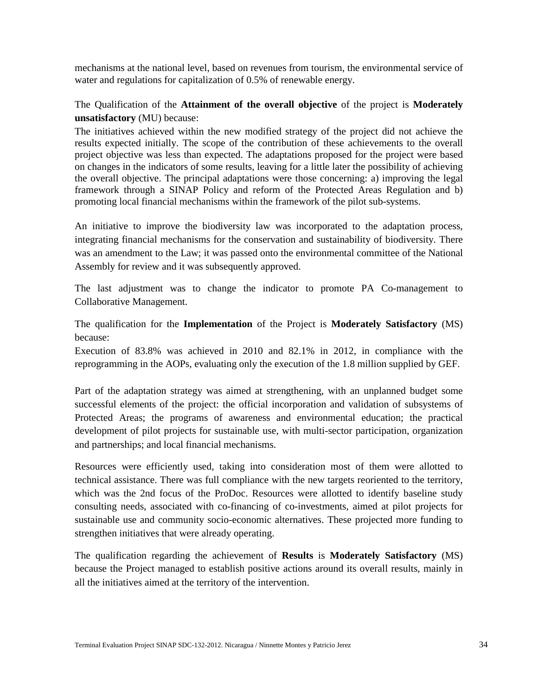mechanisms at the national level, based on revenues from tourism, the environmental service of water and regulations for capitalization of 0.5% of renewable energy.

## The Qualification of the **Attainment of the overall objective** of the project is **Moderately unsatisfactory** (MU) because:

The initiatives achieved within the new modified strategy of the project did not achieve the results expected initially. The scope of the contribution of these achievements to the overall project objective was less than expected. The adaptations proposed for the project were based on changes in the indicators of some results, leaving for a little later the possibility of achieving the overall objective. The principal adaptations were those concerning: a) improving the legal framework through a SINAP Policy and reform of the Protected Areas Regulation and b) promoting local financial mechanisms within the framework of the pilot sub-systems.

An initiative to improve the biodiversity law was incorporated to the adaptation process, integrating financial mechanisms for the conservation and sustainability of biodiversity. There was an amendment to the Law; it was passed onto the environmental committee of the National Assembly for review and it was subsequently approved.

The last adjustment was to change the indicator to promote PA Co-management to Collaborative Management.

The qualification for the **Implementation** of the Project is **Moderately Satisfactory** (MS) because:

Execution of 83.8% was achieved in 2010 and 82.1% in 2012, in compliance with the reprogramming in the AOPs, evaluating only the execution of the 1.8 million supplied by GEF.

Part of the adaptation strategy was aimed at strengthening, with an unplanned budget some successful elements of the project: the official incorporation and validation of subsystems of Protected Areas; the programs of awareness and environmental education; the practical development of pilot projects for sustainable use, with multi-sector participation, organization and partnerships; and local financial mechanisms.

Resources were efficiently used, taking into consideration most of them were allotted to technical assistance. There was full compliance with the new targets reoriented to the territory, which was the 2nd focus of the ProDoc. Resources were allotted to identify baseline study consulting needs, associated with co-financing of co-investments, aimed at pilot projects for sustainable use and community socio-economic alternatives. These projected more funding to strengthen initiatives that were already operating.

The qualification regarding the achievement of **Results** is **Moderately Satisfactory** (MS) because the Project managed to establish positive actions around its overall results, mainly in all the initiatives aimed at the territory of the intervention.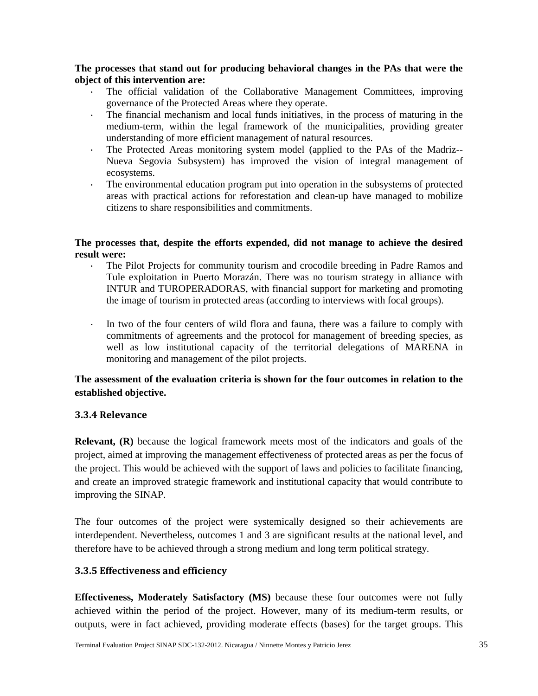**The processes that stand out for producing behavioral changes in the PAs that were the object of this intervention are:**

- The official validation of the Collaborative Management Committees, improving governance of the Protected Areas where they operate.
- The financial mechanism and local funds initiatives, in the process of maturing in the medium-term, within the legal framework of the municipalities, providing greater understanding of more efficient management of natural resources.
- The Protected Areas monitoring system model (applied to the PAs of the Madriz-- Nueva Segovia Subsystem) has improved the vision of integral management of ecosystems.
- The environmental education program put into operation in the subsystems of protected areas with practical actions for reforestation and clean-up have managed to mobilize citizens to share responsibilities and commitments.

#### **The processes that, despite the efforts expended, did not manage to achieve the desired result were:**

- The Pilot Projects for community tourism and crocodile breeding in Padre Ramos and Tule exploitation in Puerto Morazán. There was no tourism strategy in alliance with INTUR and TUROPERADORAS, with financial support for marketing and promoting the image of tourism in protected areas (according to interviews with focal groups).
- In two of the four centers of wild flora and fauna, there was a failure to comply with commitments of agreements and the protocol for management of breeding species, as well as low institutional capacity of the territorial delegations of MARENA in monitoring and management of the pilot projects.

## **The assessment of the evaluation criteria is shown for the four outcomes in relation to the established objective.**

#### <span id="page-35-0"></span>**3.3.4 Relevance**

**Relevant, (R)** because the logical framework meets most of the indicators and goals of the project, aimed at improving the management effectiveness of protected areas as per the focus of the project. This would be achieved with the support of laws and policies to facilitate financing, and create an improved strategic framework and institutional capacity that would contribute to improving the SINAP.

The four outcomes of the project were systemically designed so their achievements are interdependent. Nevertheless, outcomes 1 and 3 are significant results at the national level, and therefore have to be achieved through a strong medium and long term political strategy.

#### <span id="page-35-1"></span>**3.3.5 Effectiveness and efficiency**

**Effectiveness, Moderately Satisfactory (MS)** because these four outcomes were not fully achieved within the period of the project. However, many of its medium-term results, or outputs, were in fact achieved, providing moderate effects (bases) for the target groups. This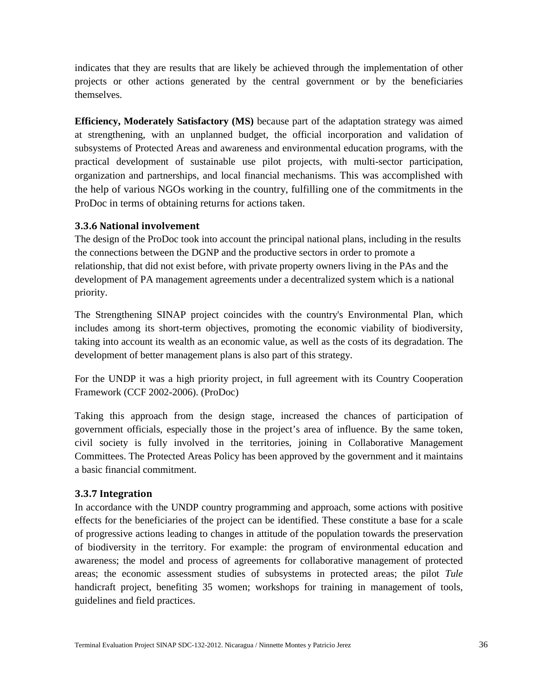indicates that they are results that are likely be achieved through the implementation of other projects or other actions generated by the central government or by the beneficiaries themselves.

**Efficiency, Moderately Satisfactory (MS)** because part of the adaptation strategy was aimed at strengthening, with an unplanned budget, the official incorporation and validation of subsystems of Protected Areas and awareness and environmental education programs, with the practical development of sustainable use pilot projects, with multi-sector participation, organization and partnerships, and local financial mechanisms. This was accomplished with the help of various NGOs working in the country, fulfilling one of the commitments in the ProDoc in terms of obtaining returns for actions taken.

#### **3.3.6 National involvement**

The design of the ProDoc took into account the principal national plans, including in the results the connections between the DGNP and the productive sectors in order to promote a relationship, that did not exist before, with private property owners living in the PAs and the development of PA management agreements under a decentralized system which is a national priority.

The Strengthening SINAP project coincides with the country's Environmental Plan, which includes among its short-term objectives, promoting the economic viability of biodiversity, taking into account its wealth as an economic value, as well as the costs of its degradation. The development of better management plans is also part of this strategy.

For the UNDP it was a high priority project, in full agreement with its Country Cooperation Framework (CCF 2002-2006). (ProDoc)

Taking this approach from the design stage, increased the chances of participation of government officials, especially those in the project's area of influence. By the same token, civil society is fully involved in the territories, joining in Collaborative Management Committees. The Protected Areas Policy has been approved by the government and it maintains a basic financial commitment.

## <span id="page-36-0"></span>**3.3.7 Integration**

In accordance with the UNDP country programming and approach, some actions with positive effects for the beneficiaries of the project can be identified. These constitute a base for a scale of progressive actions leading to changes in attitude of the population towards the preservation of biodiversity in the territory. For example: the program of environmental education and awareness; the model and process of agreements for collaborative management of protected areas; the economic assessment studies of subsystems in protected areas; the pilot *Tule* handicraft project, benefiting 35 women; workshops for training in management of tools, guidelines and field practices.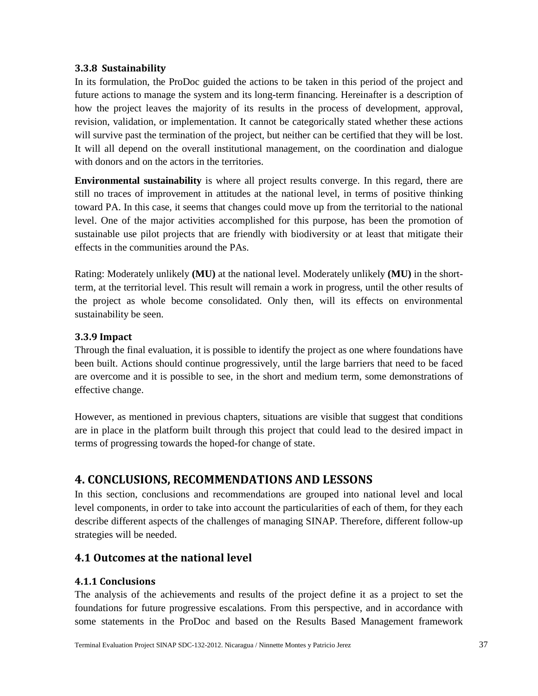#### <span id="page-37-0"></span>**3.3.8 Sustainability**

In its formulation, the ProDoc guided the actions to be taken in this period of the project and future actions to manage the system and its long-term financing. Hereinafter is a description of how the project leaves the majority of its results in the process of development, approval, revision, validation, or implementation. It cannot be categorically stated whether these actions will survive past the termination of the project, but neither can be certified that they will be lost. It will all depend on the overall institutional management, on the coordination and dialogue with donors and on the actors in the territories.

**Environmental sustainability** is where all project results converge. In this regard, there are still no traces of improvement in attitudes at the national level, in terms of positive thinking toward PA. In this case, it seems that changes could move up from the territorial to the national level. One of the major activities accomplished for this purpose, has been the promotion of sustainable use pilot projects that are friendly with biodiversity or at least that mitigate their effects in the communities around the PAs.

Rating: Moderately unlikely **(MU)** at the national level. Moderately unlikely **(MU)** in the shortterm, at the territorial level. This result will remain a work in progress, until the other results of the project as whole become consolidated. Only then, will its effects on environmental sustainability be seen.

#### <span id="page-37-1"></span>**3.3.9 Impact**

Through the final evaluation, it is possible to identify the project as one where foundations have been built. Actions should continue progressively, until the large barriers that need to be faced are overcome and it is possible to see, in the short and medium term, some demonstrations of effective change.

However, as mentioned in previous chapters, situations are visible that suggest that conditions are in place in the platform built through this project that could lead to the desired impact in terms of progressing towards the hoped-for change of state.

# <span id="page-37-2"></span>**4. CONCLUSIONS, RECOMMENDATIONS AND LESSONS**

In this section, conclusions and recommendations are grouped into national level and local level components, in order to take into account the particularities of each of them, for they each describe different aspects of the challenges of managing SINAP. Therefore, different follow-up strategies will be needed.

## <span id="page-37-3"></span>**4.1 Outcomes at the national level**

## <span id="page-37-4"></span>**4.1.1 Conclusions**

The analysis of the achievements and results of the project define it as a project to set the foundations for future progressive escalations. From this perspective, and in accordance with some statements in the ProDoc and based on the Results Based Management framework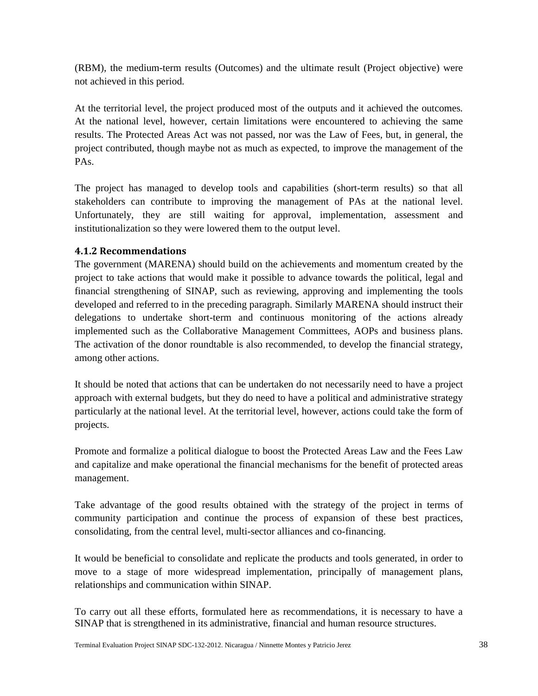(RBM), the medium-term results (Outcomes) and the ultimate result (Project objective) were not achieved in this period.

<span id="page-38-0"></span>At the territorial level, the project produced most of the outputs and it achieved the outcomes. At the national level, however, certain limitations were encountered to achieving the same results. The Protected Areas Act was not passed, nor was the Law of Fees, but, in general, the project contributed, though maybe not as much as expected, to improve the management of the PAs.

The project has managed to develop tools and capabilities (short-term results) so that all stakeholders can contribute to improving the management of PAs at the national level. Unfortunately, they are still waiting for approval, implementation, assessment and institutionalization so they were lowered them to the output level.

## **4.1.2 Recommendations**

The government (MARENA) should build on the achievements and momentum created by the project to take actions that would make it possible to advance towards the political, legal and financial strengthening of SINAP, such as reviewing, approving and implementing the tools developed and referred to in the preceding paragraph. Similarly MARENA should instruct their delegations to undertake short-term and continuous monitoring of the actions already implemented such as the Collaborative Management Committees, AOPs and business plans. The activation of the donor roundtable is also recommended, to develop the financial strategy, among other actions.

It should be noted that actions that can be undertaken do not necessarily need to have a project approach with external budgets, but they do need to have a political and administrative strategy particularly at the national level. At the territorial level, however, actions could take the form of projects.

Promote and formalize a political dialogue to boost the Protected Areas Law and the Fees Law and capitalize and make operational the financial mechanisms for the benefit of protected areas management.

Take advantage of the good results obtained with the strategy of the project in terms of community participation and continue the process of expansion of these best practices, consolidating, from the central level, multi-sector alliances and co-financing.

It would be beneficial to consolidate and replicate the products and tools generated, in order to move to a stage of more widespread implementation, principally of management plans, relationships and communication within SINAP.

To carry out all these efforts, formulated here as recommendations, it is necessary to have a SINAP that is strengthened in its administrative, financial and human resource structures.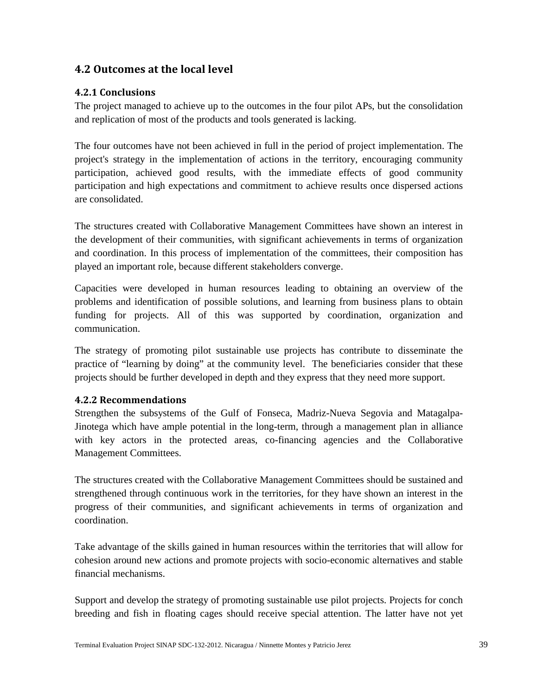## <span id="page-39-0"></span>**4.2 Outcomes at the local level**

#### <span id="page-39-1"></span>**4.2.1 Conclusions**

The project managed to achieve up to the outcomes in the four pilot APs, but the consolidation and replication of most of the products and tools generated is lacking.

The four outcomes have not been achieved in full in the period of project implementation. The project's strategy in the implementation of actions in the territory, encouraging community participation, achieved good results, with the immediate effects of good community participation and high expectations and commitment to achieve results once dispersed actions are consolidated.

The structures created with Collaborative Management Committees have shown an interest in the development of their communities, with significant achievements in terms of organization and coordination. In this process of implementation of the committees, their composition has played an important role, because different stakeholders converge.

Capacities were developed in human resources leading to obtaining an overview of the problems and identification of possible solutions, and learning from business plans to obtain funding for projects. All of this was supported by coordination, organization and communication.

<span id="page-39-2"></span>The strategy of promoting pilot sustainable use projects has contribute to disseminate the practice of "learning by doing" at the community level. The beneficiaries consider that these projects should be further developed in depth and they express that they need more support.

#### **4.2.2 Recommendations**

Strengthen the subsystems of the Gulf of Fonseca, Madriz-Nueva Segovia and Matagalpa-Jinotega which have ample potential in the long-term, through a management plan in alliance with key actors in the protected areas, co-financing agencies and the Collaborative Management Committees.

The structures created with the Collaborative Management Committees should be sustained and strengthened through continuous work in the territories, for they have shown an interest in the progress of their communities, and significant achievements in terms of organization and coordination.

Take advantage of the skills gained in human resources within the territories that will allow for cohesion around new actions and promote projects with socio-economic alternatives and stable financial mechanisms.

Support and develop the strategy of promoting sustainable use pilot projects. Projects for conch breeding and fish in floating cages should receive special attention. The latter have not yet